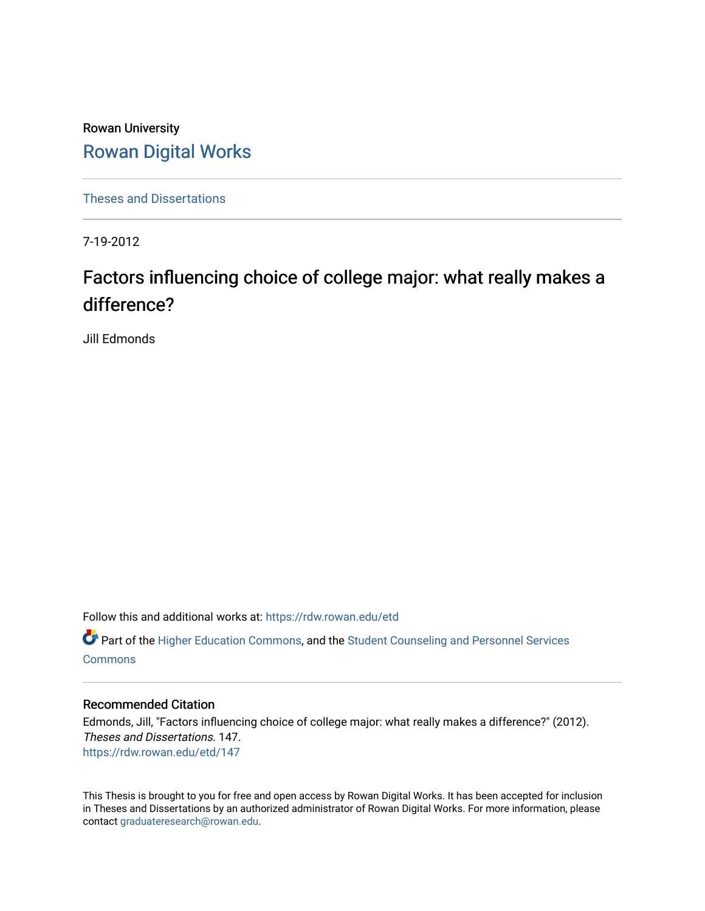Rowan University [Rowan Digital Works](https://rdw.rowan.edu/)

[Theses and Dissertations](https://rdw.rowan.edu/etd)

7-19-2012

# Factors influencing choice of college major: what really makes a difference?

Jill Edmonds

Follow this and additional works at: [https://rdw.rowan.edu/etd](https://rdw.rowan.edu/etd?utm_source=rdw.rowan.edu%2Fetd%2F147&utm_medium=PDF&utm_campaign=PDFCoverPages) 

Part of the [Higher Education Commons,](http://network.bepress.com/hgg/discipline/1245?utm_source=rdw.rowan.edu%2Fetd%2F147&utm_medium=PDF&utm_campaign=PDFCoverPages) and the [Student Counseling and Personnel Services](http://network.bepress.com/hgg/discipline/802?utm_source=rdw.rowan.edu%2Fetd%2F147&utm_medium=PDF&utm_campaign=PDFCoverPages)  [Commons](http://network.bepress.com/hgg/discipline/802?utm_source=rdw.rowan.edu%2Fetd%2F147&utm_medium=PDF&utm_campaign=PDFCoverPages)

## Recommended Citation

Edmonds, Jill, "Factors influencing choice of college major: what really makes a difference?" (2012). Theses and Dissertations. 147. [https://rdw.rowan.edu/etd/147](https://rdw.rowan.edu/etd/147?utm_source=rdw.rowan.edu%2Fetd%2F147&utm_medium=PDF&utm_campaign=PDFCoverPages) 

This Thesis is brought to you for free and open access by Rowan Digital Works. It has been accepted for inclusion in Theses and Dissertations by an authorized administrator of Rowan Digital Works. For more information, please contact [graduateresearch@rowan.edu.](mailto:graduateresearch@rowan.edu)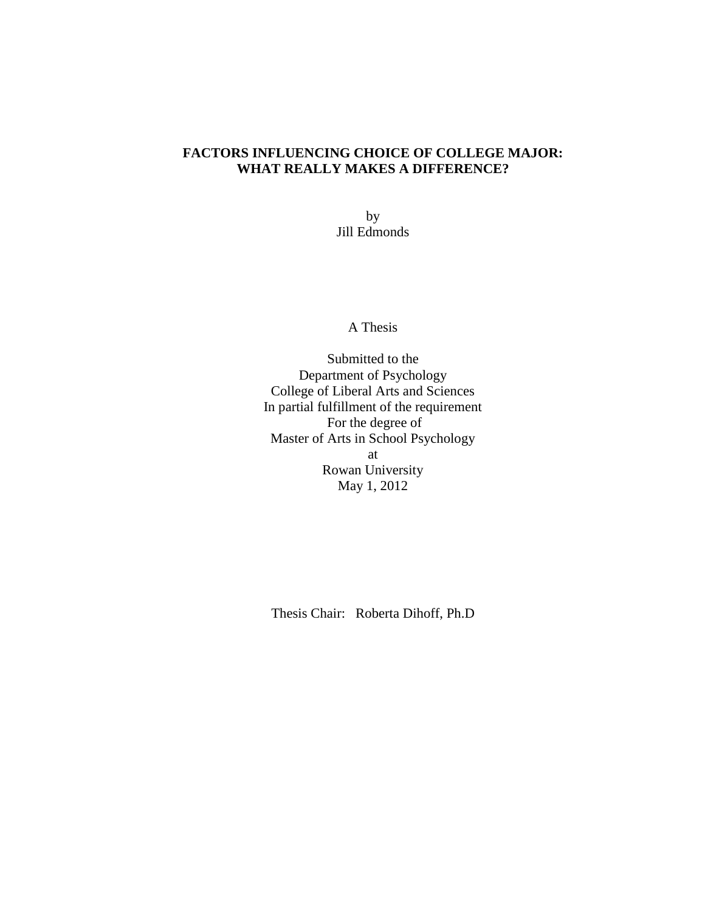# **FACTORS INFLUENCING CHOICE OF COLLEGE MAJOR: WHAT REALLY MAKES A DIFFERENCE?**

by Jill Edmonds

A Thesis

Submitted to the Department of Psychology College of Liberal Arts and Sciences In partial fulfillment of the requirement For the degree of Master of Arts in School Psychology at Rowan University May 1, 2012

Thesis Chair: Roberta Dihoff, Ph.D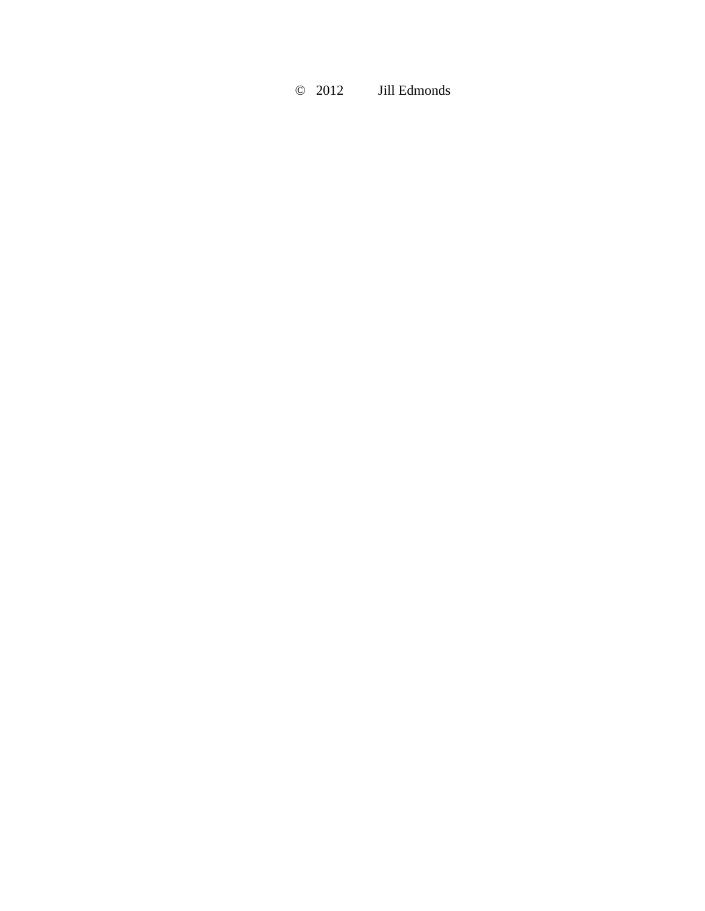# © 2012 Jill Edmonds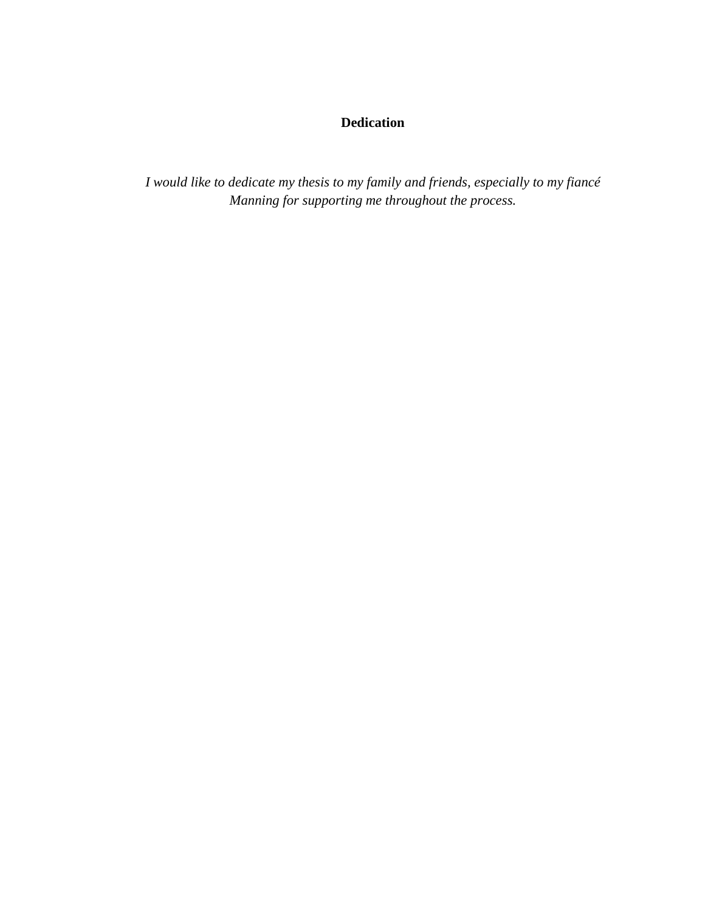# **Dedication**

*I would like to dedicate my thesis to my family and friends, especially to my fiancé Manning for supporting me throughout the process.*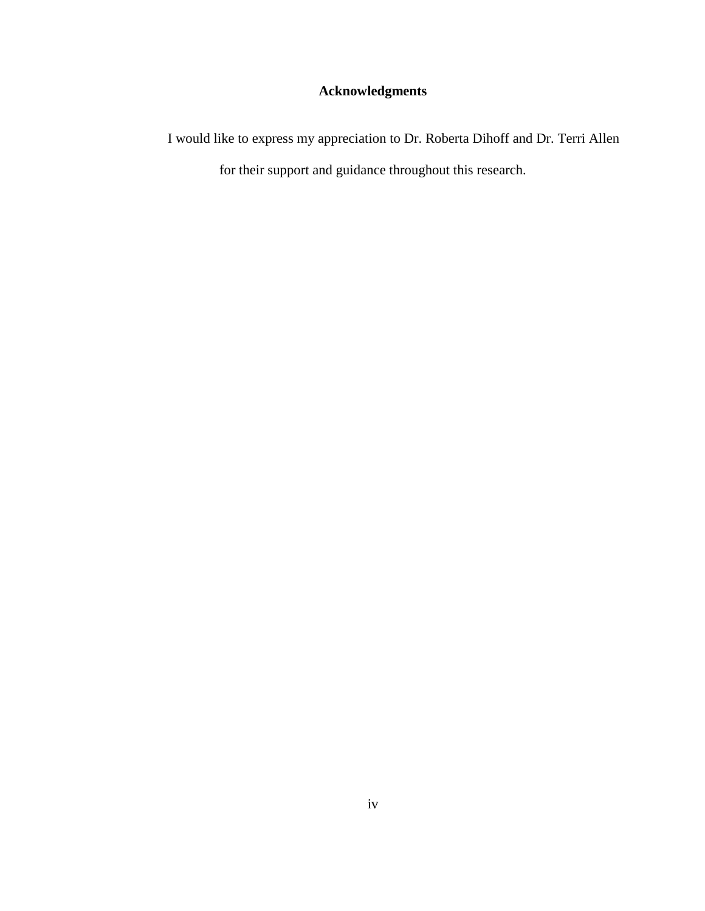# **Acknowledgments**

I would like to express my appreciation to Dr. Roberta Dihoff and Dr. Terri Allen for their support and guidance throughout this research.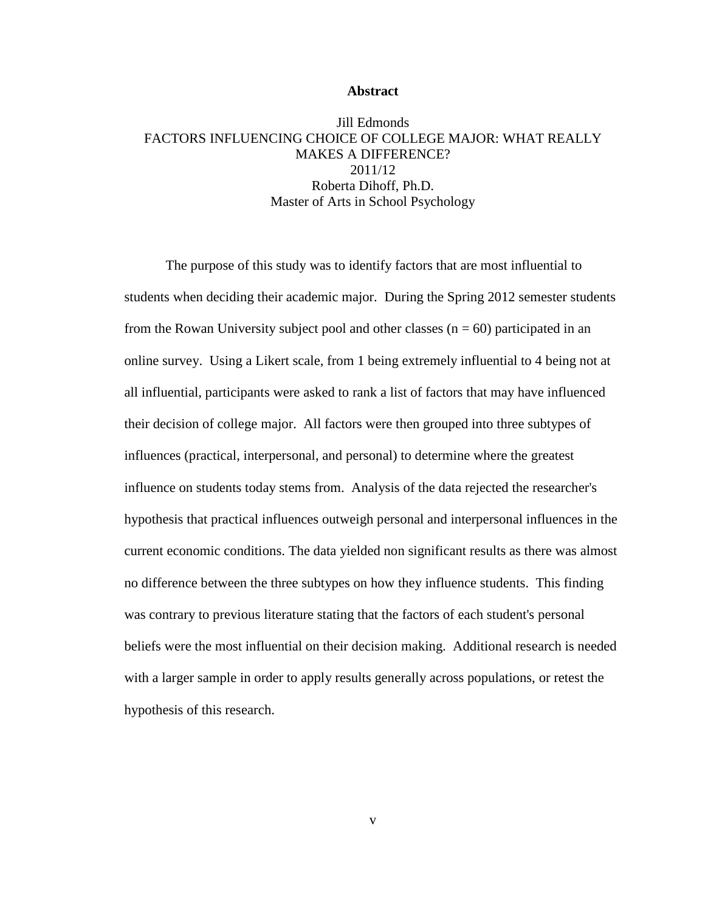#### **Abstract**

# Jill Edmonds FACTORS INFLUENCING CHOICE OF COLLEGE MAJOR: WHAT REALLY MAKES A DIFFERENCE? 2011/12 Roberta Dihoff, Ph.D. Master of Arts in School Psychology

The purpose of this study was to identify factors that are most influential to students when deciding their academic major. During the Spring 2012 semester students from the Rowan University subject pool and other classes  $(n = 60)$  participated in an online survey. Using a Likert scale, from 1 being extremely influential to 4 being not at all influential, participants were asked to rank a list of factors that may have influenced their decision of college major. All factors were then grouped into three subtypes of influences (practical, interpersonal, and personal) to determine where the greatest influence on students today stems from. Analysis of the data rejected the researcher's hypothesis that practical influences outweigh personal and interpersonal influences in the current economic conditions. The data yielded non significant results as there was almost no difference between the three subtypes on how they influence students. This finding was contrary to previous literature stating that the factors of each student's personal beliefs were the most influential on their decision making. Additional research is needed with a larger sample in order to apply results generally across populations, or retest the hypothesis of this research.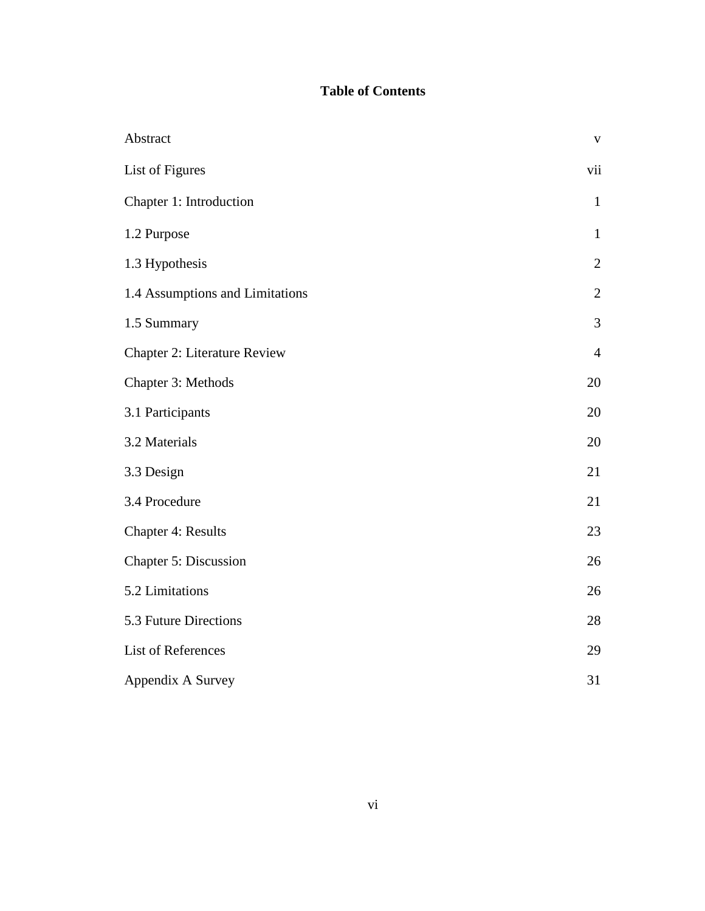# **Table of Contents**

| Abstract                            | $\mathbf{V}$   |
|-------------------------------------|----------------|
| List of Figures                     | vii            |
| Chapter 1: Introduction             | $\mathbf{1}$   |
| 1.2 Purpose                         | $\mathbf{1}$   |
| 1.3 Hypothesis                      | $\overline{2}$ |
| 1.4 Assumptions and Limitations     | $\mathbf{2}$   |
| 1.5 Summary                         | 3              |
| <b>Chapter 2: Literature Review</b> | $\overline{4}$ |
| Chapter 3: Methods                  | 20             |
| 3.1 Participants                    | 20             |
| 3.2 Materials                       | 20             |
| 3.3 Design                          | 21             |
| 3.4 Procedure                       | 21             |
| <b>Chapter 4: Results</b>           | 23             |
| Chapter 5: Discussion               | 26             |
| 5.2 Limitations                     | 26             |
| 5.3 Future Directions               | 28             |
| List of References                  | 29             |
| Appendix A Survey                   | 31             |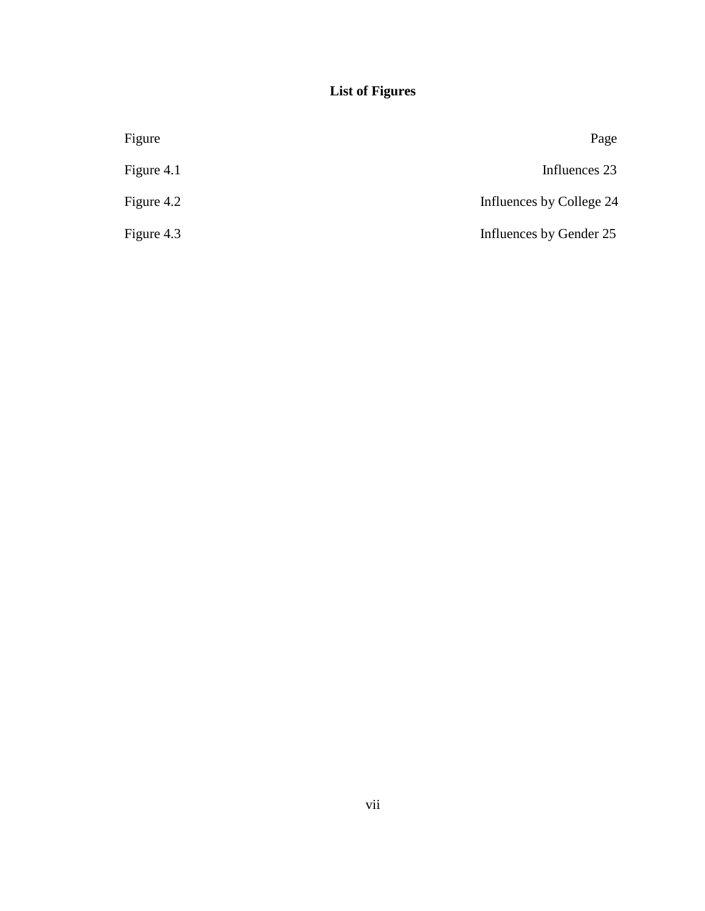# **List of Figures**

| Figure     | Page                     |
|------------|--------------------------|
| Figure 4.1 | Influences 23            |
| Figure 4.2 | Influences by College 24 |
| Figure 4.3 | Influences by Gender 25  |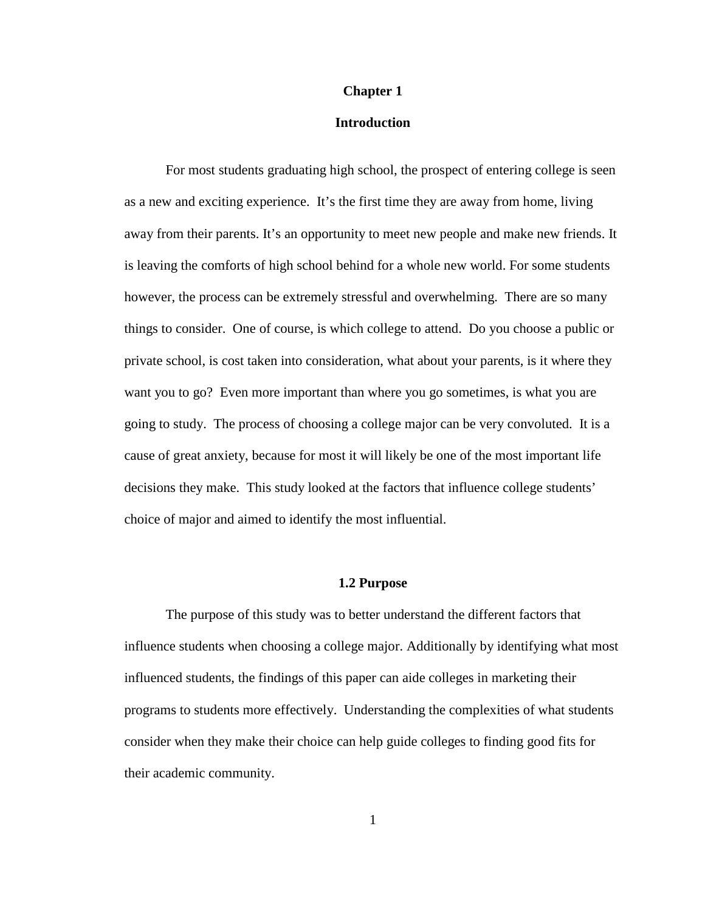## **Chapter 1**

## **Introduction**

For most students graduating high school, the prospect of entering college is seen as a new and exciting experience. It's the first time they are away from home, living away from their parents. It's an opportunity to meet new people and make new friends. It is leaving the comforts of high school behind for a whole new world. For some students however, the process can be extremely stressful and overwhelming. There are so many things to consider. One of course, is which college to attend. Do you choose a public or private school, is cost taken into consideration, what about your parents, is it where they want you to go? Even more important than where you go sometimes, is what you are going to study. The process of choosing a college major can be very convoluted. It is a cause of great anxiety, because for most it will likely be one of the most important life decisions they make. This study looked at the factors that influence college students' choice of major and aimed to identify the most influential.

## **1.2 Purpose**

The purpose of this study was to better understand the different factors that influence students when choosing a college major. Additionally by identifying what most influenced students, the findings of this paper can aide colleges in marketing their programs to students more effectively. Understanding the complexities of what students consider when they make their choice can help guide colleges to finding good fits for their academic community.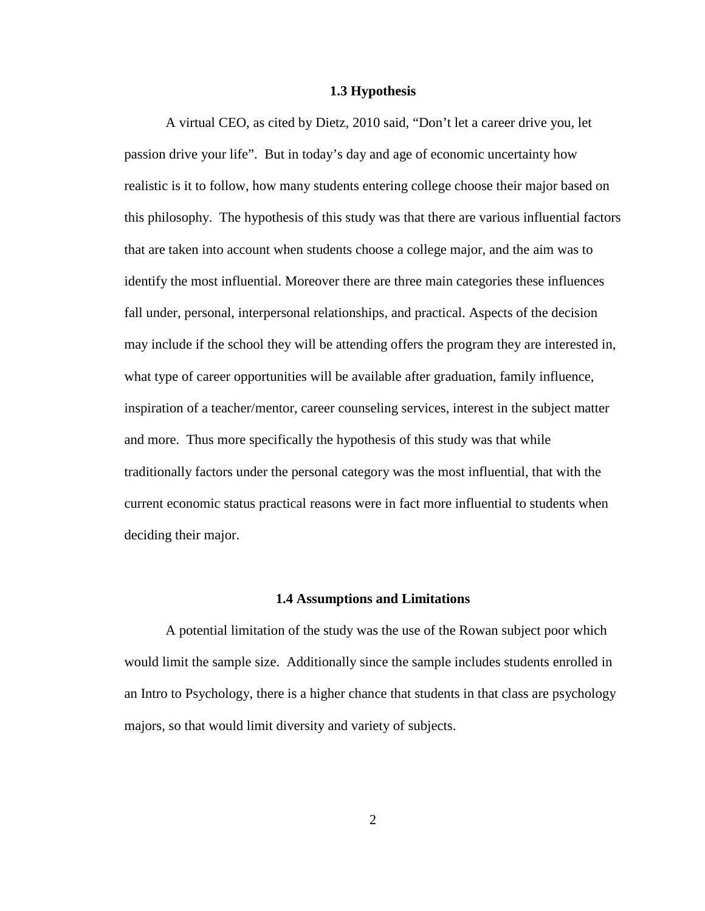#### **1.3 Hypothesis**

A virtual CEO, as cited by Dietz, 2010 said, "Don't let a career drive you, let passion drive your life". But in today's day and age of economic uncertainty how realistic is it to follow, how many students entering college choose their major based on this philosophy. The hypothesis of this study was that there are various influential factors that are taken into account when students choose a college major, and the aim was to identify the most influential. Moreover there are three main categories these influences fall under, personal, interpersonal relationships, and practical. Aspects of the decision may include if the school they will be attending offers the program they are interested in, what type of career opportunities will be available after graduation, family influence, inspiration of a teacher/mentor, career counseling services, interest in the subject matter and more. Thus more specifically the hypothesis of this study was that while traditionally factors under the personal category was the most influential, that with the current economic status practical reasons were in fact more influential to students when deciding their major.

#### **1.4 Assumptions and Limitations**

A potential limitation of the study was the use of the Rowan subject poor which would limit the sample size. Additionally since the sample includes students enrolled in an Intro to Psychology, there is a higher chance that students in that class are psychology majors, so that would limit diversity and variety of subjects.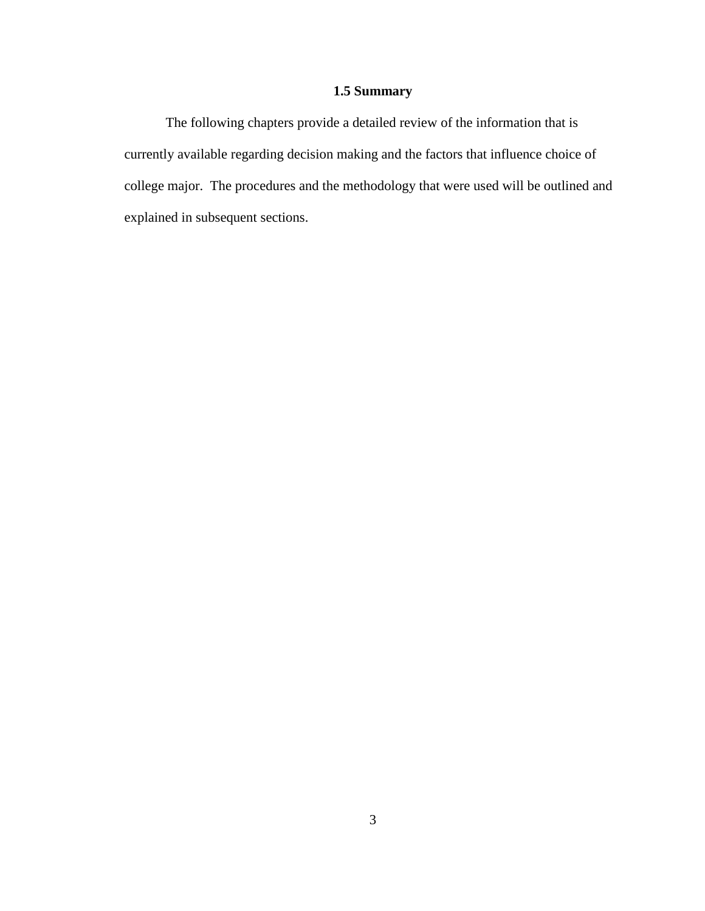# **1.5 Summary**

The following chapters provide a detailed review of the information that is currently available regarding decision making and the factors that influence choice of college major. The procedures and the methodology that were used will be outlined and explained in subsequent sections.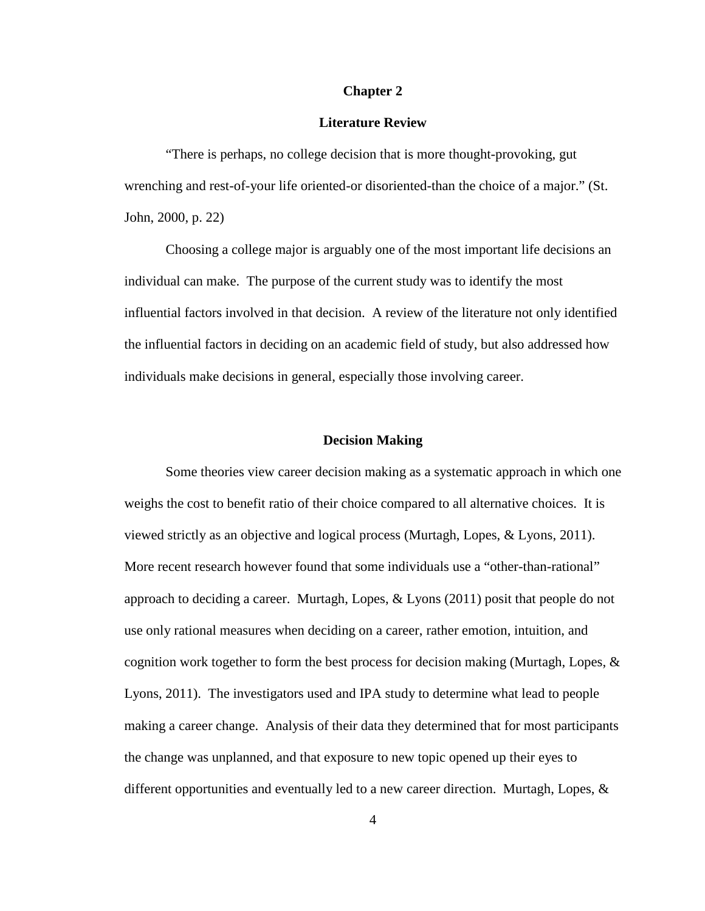## **Chapter 2**

## **Literature Review**

"There is perhaps, no college decision that is more thought-provoking, gut wrenching and rest-of-your life oriented-or disoriented-than the choice of a major." (St. John, 2000, p. 22)

Choosing a college major is arguably one of the most important life decisions an individual can make. The purpose of the current study was to identify the most influential factors involved in that decision. A review of the literature not only identified the influential factors in deciding on an academic field of study, but also addressed how individuals make decisions in general, especially those involving career.

#### **Decision Making**

Some theories view career decision making as a systematic approach in which one weighs the cost to benefit ratio of their choice compared to all alternative choices. It is viewed strictly as an objective and logical process (Murtagh, Lopes, & Lyons, 2011). More recent research however found that some individuals use a "other-than-rational" approach to deciding a career. Murtagh, Lopes, & Lyons (2011) posit that people do not use only rational measures when deciding on a career, rather emotion, intuition, and cognition work together to form the best process for decision making (Murtagh, Lopes, & Lyons, 2011). The investigators used and IPA study to determine what lead to people making a career change. Analysis of their data they determined that for most participants the change was unplanned, and that exposure to new topic opened up their eyes to different opportunities and eventually led to a new career direction. Murtagh, Lopes,  $\&$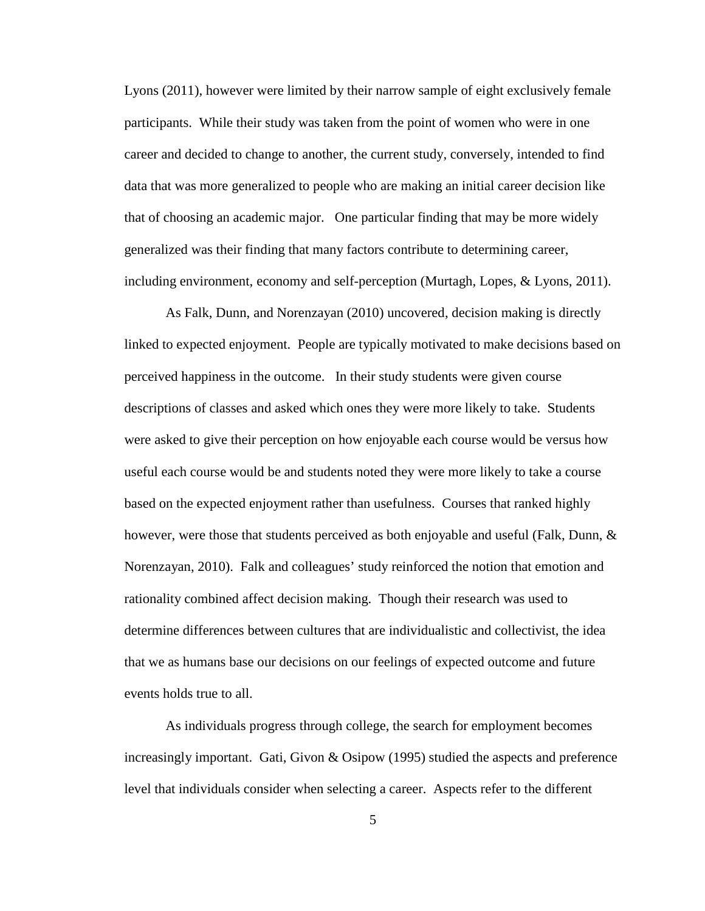Lyons (2011), however were limited by their narrow sample of eight exclusively female participants. While their study was taken from the point of women who were in one career and decided to change to another, the current study, conversely, intended to find data that was more generalized to people who are making an initial career decision like that of choosing an academic major. One particular finding that may be more widely generalized was their finding that many factors contribute to determining career, including environment, economy and self-perception (Murtagh, Lopes, & Lyons, 2011).

As Falk, Dunn, and Norenzayan (2010) uncovered, decision making is directly linked to expected enjoyment. People are typically motivated to make decisions based on perceived happiness in the outcome. In their study students were given course descriptions of classes and asked which ones they were more likely to take. Students were asked to give their perception on how enjoyable each course would be versus how useful each course would be and students noted they were more likely to take a course based on the expected enjoyment rather than usefulness. Courses that ranked highly however, were those that students perceived as both enjoyable and useful (Falk, Dunn, & Norenzayan, 2010). Falk and colleagues' study reinforced the notion that emotion and rationality combined affect decision making. Though their research was used to determine differences between cultures that are individualistic and collectivist, the idea that we as humans base our decisions on our feelings of expected outcome and future events holds true to all.

As individuals progress through college, the search for employment becomes increasingly important. Gati, Givon  $\&$  Osipow (1995) studied the aspects and preference level that individuals consider when selecting a career. Aspects refer to the different

5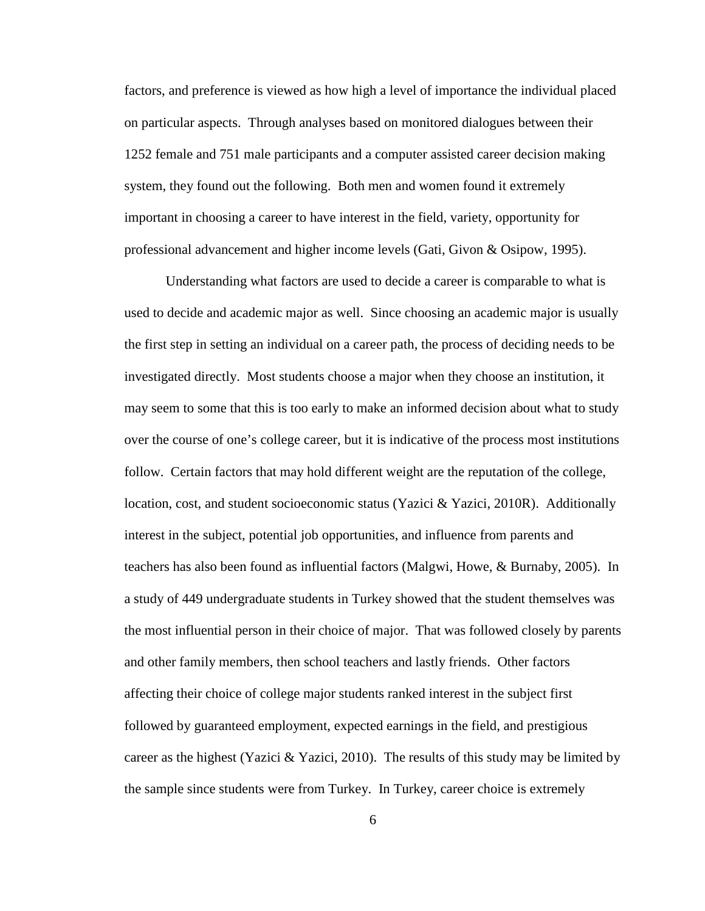factors, and preference is viewed as how high a level of importance the individual placed on particular aspects. Through analyses based on monitored dialogues between their 1252 female and 751 male participants and a computer assisted career decision making system, they found out the following. Both men and women found it extremely important in choosing a career to have interest in the field, variety, opportunity for professional advancement and higher income levels (Gati, Givon & Osipow, 1995).

Understanding what factors are used to decide a career is comparable to what is used to decide and academic major as well. Since choosing an academic major is usually the first step in setting an individual on a career path, the process of deciding needs to be investigated directly. Most students choose a major when they choose an institution, it may seem to some that this is too early to make an informed decision about what to study over the course of one's college career, but it is indicative of the process most institutions follow. Certain factors that may hold different weight are the reputation of the college, location, cost, and student socioeconomic status (Yazici & Yazici, 2010R). Additionally interest in the subject, potential job opportunities, and influence from parents and teachers has also been found as influential factors (Malgwi, Howe, & Burnaby, 2005). In a study of 449 undergraduate students in Turkey showed that the student themselves was the most influential person in their choice of major. That was followed closely by parents and other family members, then school teachers and lastly friends. Other factors affecting their choice of college major students ranked interest in the subject first followed by guaranteed employment, expected earnings in the field, and prestigious career as the highest (Yazici & Yazici, 2010). The results of this study may be limited by the sample since students were from Turkey. In Turkey, career choice is extremely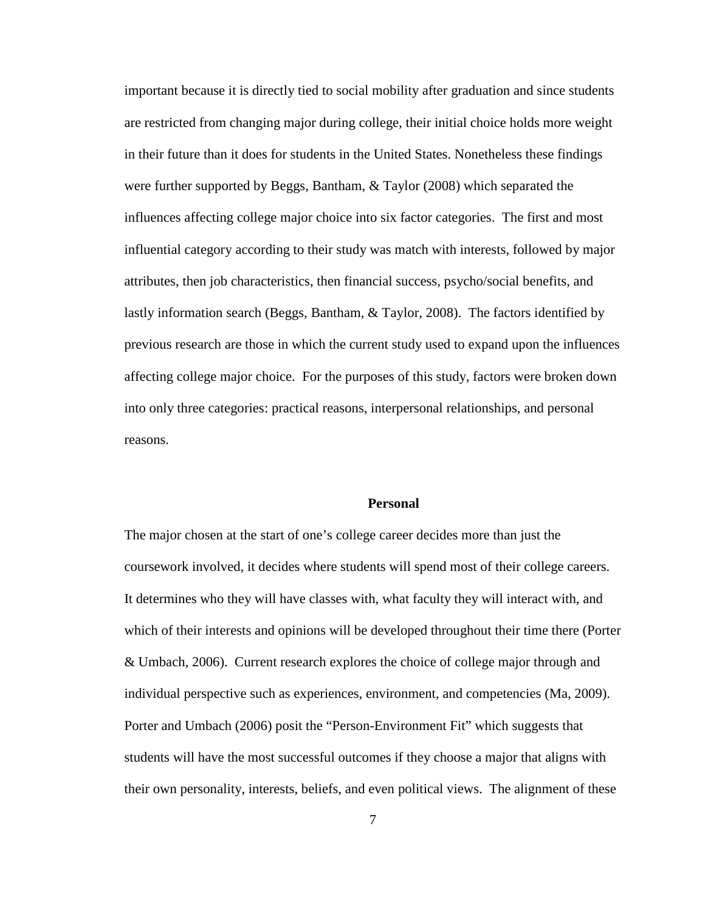important because it is directly tied to social mobility after graduation and since students are restricted from changing major during college, their initial choice holds more weight in their future than it does for students in the United States. Nonetheless these findings were further supported by Beggs, Bantham, & Taylor (2008) which separated the influences affecting college major choice into six factor categories. The first and most influential category according to their study was match with interests, followed by major attributes, then job characteristics, then financial success, psycho/social benefits, and lastly information search (Beggs, Bantham, & Taylor, 2008). The factors identified by previous research are those in which the current study used to expand upon the influences affecting college major choice. For the purposes of this study, factors were broken down into only three categories: practical reasons, interpersonal relationships, and personal reasons.

## **Personal**

The major chosen at the start of one's college career decides more than just the coursework involved, it decides where students will spend most of their college careers. It determines who they will have classes with, what faculty they will interact with, and which of their interests and opinions will be developed throughout their time there (Porter & Umbach, 2006). Current research explores the choice of college major through and individual perspective such as experiences, environment, and competencies (Ma, 2009). Porter and Umbach (2006) posit the "Person-Environment Fit" which suggests that students will have the most successful outcomes if they choose a major that aligns with their own personality, interests, beliefs, and even political views. The alignment of these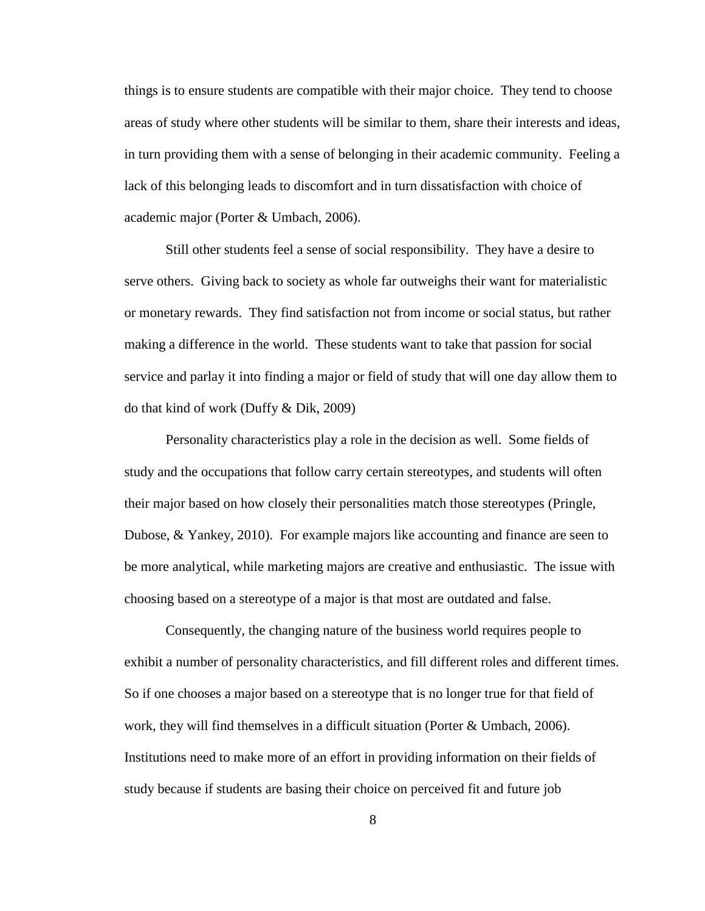things is to ensure students are compatible with their major choice. They tend to choose areas of study where other students will be similar to them, share their interests and ideas, in turn providing them with a sense of belonging in their academic community. Feeling a lack of this belonging leads to discomfort and in turn dissatisfaction with choice of academic major (Porter & Umbach, 2006).

Still other students feel a sense of social responsibility. They have a desire to serve others. Giving back to society as whole far outweighs their want for materialistic or monetary rewards. They find satisfaction not from income or social status, but rather making a difference in the world. These students want to take that passion for social service and parlay it into finding a major or field of study that will one day allow them to do that kind of work (Duffy & Dik, 2009)

Personality characteristics play a role in the decision as well. Some fields of study and the occupations that follow carry certain stereotypes, and students will often their major based on how closely their personalities match those stereotypes (Pringle, Dubose, & Yankey, 2010). For example majors like accounting and finance are seen to be more analytical, while marketing majors are creative and enthusiastic. The issue with choosing based on a stereotype of a major is that most are outdated and false.

Consequently, the changing nature of the business world requires people to exhibit a number of personality characteristics, and fill different roles and different times. So if one chooses a major based on a stereotype that is no longer true for that field of work, they will find themselves in a difficult situation (Porter & Umbach, 2006). Institutions need to make more of an effort in providing information on their fields of study because if students are basing their choice on perceived fit and future job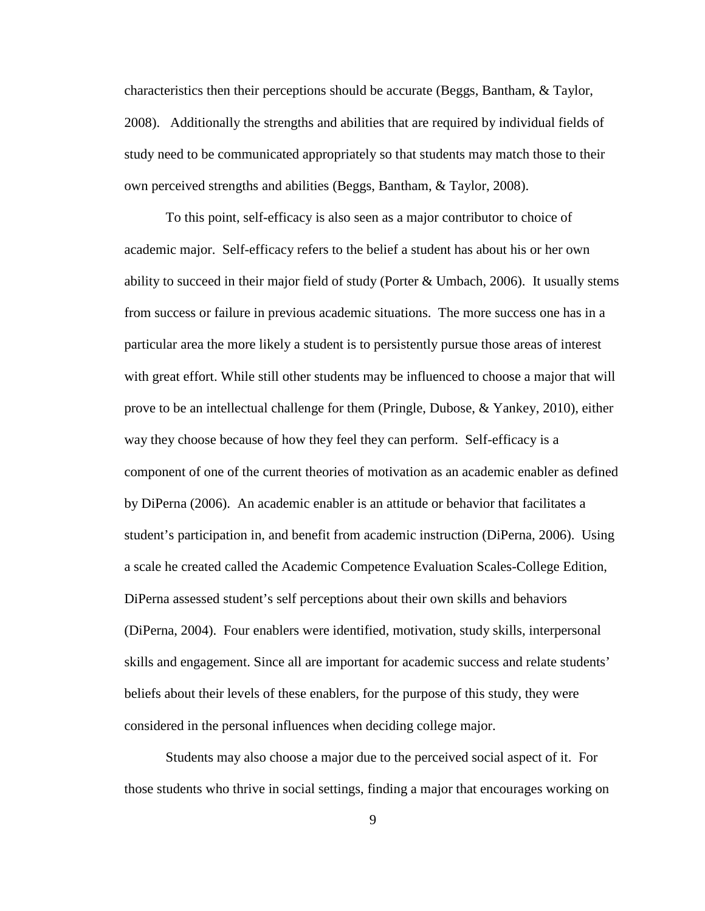characteristics then their perceptions should be accurate (Beggs, Bantham, & Taylor, 2008). Additionally the strengths and abilities that are required by individual fields of study need to be communicated appropriately so that students may match those to their own perceived strengths and abilities (Beggs, Bantham, & Taylor, 2008).

To this point, self-efficacy is also seen as a major contributor to choice of academic major. Self-efficacy refers to the belief a student has about his or her own ability to succeed in their major field of study (Porter  $&$  Umbach, 2006). It usually stems from success or failure in previous academic situations. The more success one has in a particular area the more likely a student is to persistently pursue those areas of interest with great effort. While still other students may be influenced to choose a major that will prove to be an intellectual challenge for them (Pringle, Dubose, & Yankey, 2010), either way they choose because of how they feel they can perform. Self-efficacy is a component of one of the current theories of motivation as an academic enabler as defined by DiPerna (2006). An academic enabler is an attitude or behavior that facilitates a student's participation in, and benefit from academic instruction (DiPerna, 2006). Using a scale he created called the Academic Competence Evaluation Scales-College Edition, DiPerna assessed student's self perceptions about their own skills and behaviors (DiPerna, 2004). Four enablers were identified, motivation, study skills, interpersonal skills and engagement. Since all are important for academic success and relate students' beliefs about their levels of these enablers, for the purpose of this study, they were considered in the personal influences when deciding college major.

Students may also choose a major due to the perceived social aspect of it. For those students who thrive in social settings, finding a major that encourages working on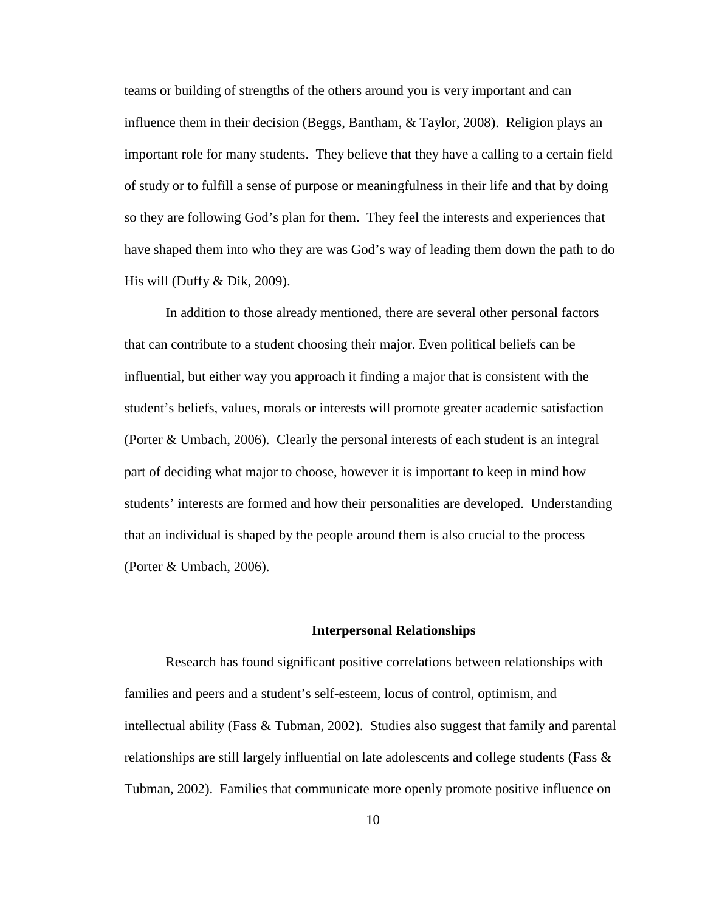teams or building of strengths of the others around you is very important and can influence them in their decision (Beggs, Bantham, & Taylor, 2008). Religion plays an important role for many students. They believe that they have a calling to a certain field of study or to fulfill a sense of purpose or meaningfulness in their life and that by doing so they are following God's plan for them. They feel the interests and experiences that have shaped them into who they are was God's way of leading them down the path to do His will (Duffy & Dik, 2009).

In addition to those already mentioned, there are several other personal factors that can contribute to a student choosing their major. Even political beliefs can be influential, but either way you approach it finding a major that is consistent with the student's beliefs, values, morals or interests will promote greater academic satisfaction (Porter & Umbach, 2006). Clearly the personal interests of each student is an integral part of deciding what major to choose, however it is important to keep in mind how students' interests are formed and how their personalities are developed. Understanding that an individual is shaped by the people around them is also crucial to the process (Porter & Umbach, 2006).

#### **Interpersonal Relationships**

Research has found significant positive correlations between relationships with families and peers and a student's self-esteem, locus of control, optimism, and intellectual ability (Fass & Tubman, 2002). Studies also suggest that family and parental relationships are still largely influential on late adolescents and college students (Fass & Tubman, 2002). Families that communicate more openly promote positive influence on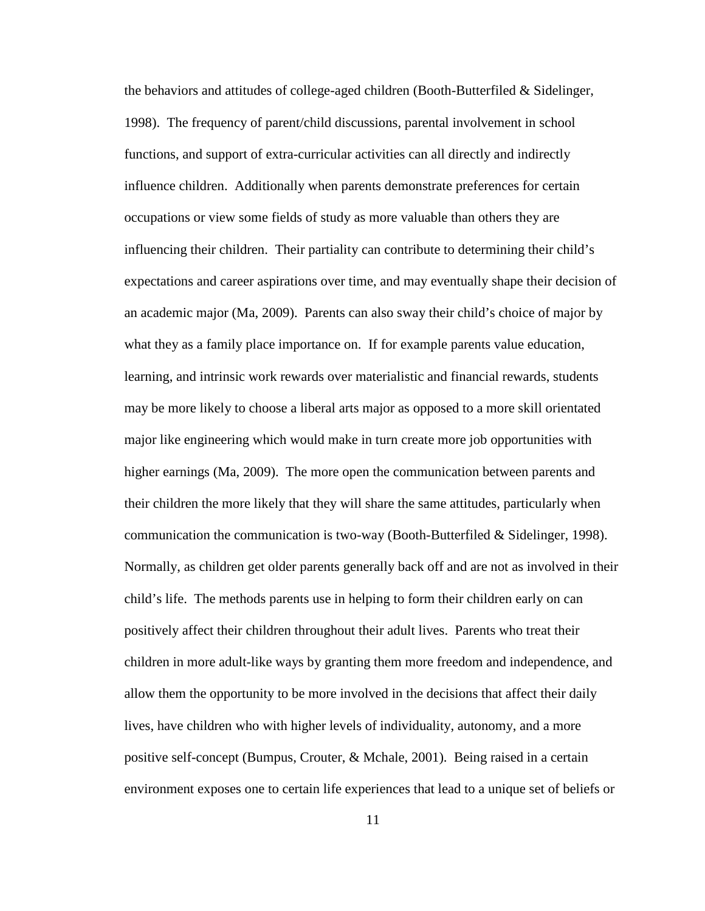the behaviors and attitudes of college-aged children (Booth-Butterfiled & Sidelinger, 1998). The frequency of parent/child discussions, parental involvement in school functions, and support of extra-curricular activities can all directly and indirectly influence children. Additionally when parents demonstrate preferences for certain occupations or view some fields of study as more valuable than others they are influencing their children. Their partiality can contribute to determining their child's expectations and career aspirations over time, and may eventually shape their decision of an academic major (Ma, 2009). Parents can also sway their child's choice of major by what they as a family place importance on. If for example parents value education, learning, and intrinsic work rewards over materialistic and financial rewards, students may be more likely to choose a liberal arts major as opposed to a more skill orientated major like engineering which would make in turn create more job opportunities with higher earnings (Ma, 2009). The more open the communication between parents and their children the more likely that they will share the same attitudes, particularly when communication the communication is two-way (Booth-Butterfiled  $\&$  Sidelinger, 1998). Normally, as children get older parents generally back off and are not as involved in their child's life. The methods parents use in helping to form their children early on can positively affect their children throughout their adult lives. Parents who treat their children in more adult-like ways by granting them more freedom and independence, and allow them the opportunity to be more involved in the decisions that affect their daily lives, have children who with higher levels of individuality, autonomy, and a more positive self-concept (Bumpus, Crouter, & Mchale, 2001). Being raised in a certain environment exposes one to certain life experiences that lead to a unique set of beliefs or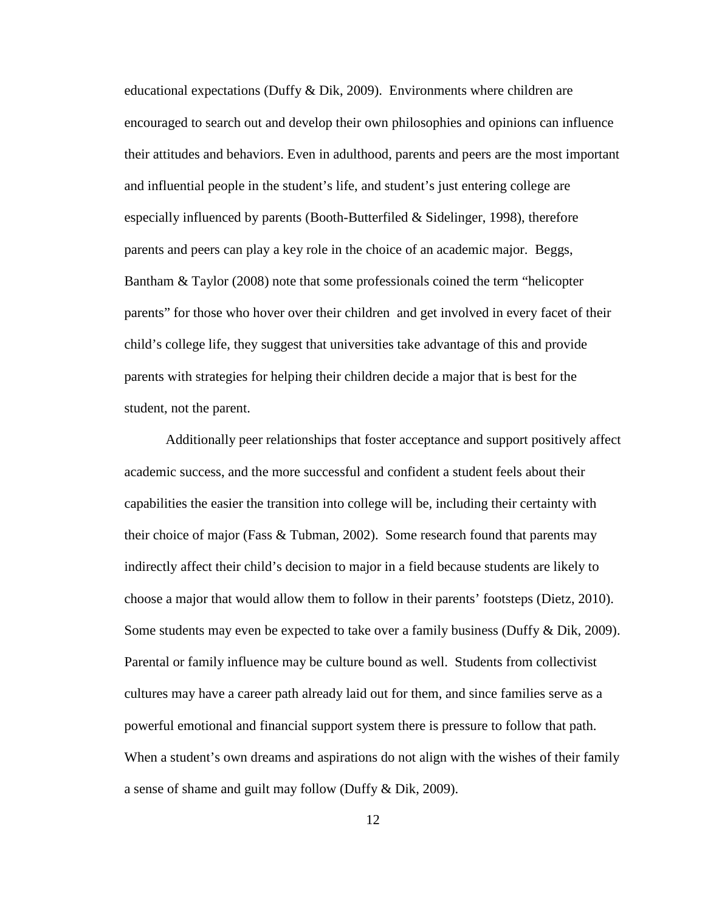educational expectations (Duffy & Dik, 2009). Environments where children are encouraged to search out and develop their own philosophies and opinions can influence their attitudes and behaviors. Even in adulthood, parents and peers are the most important and influential people in the student's life, and student's just entering college are especially influenced by parents (Booth-Butterfiled & Sidelinger, 1998), therefore parents and peers can play a key role in the choice of an academic major. Beggs, Bantham & Taylor (2008) note that some professionals coined the term "helicopter parents" for those who hover over their children and get involved in every facet of their child's college life, they suggest that universities take advantage of this and provide parents with strategies for helping their children decide a major that is best for the student, not the parent.

Additionally peer relationships that foster acceptance and support positively affect academic success, and the more successful and confident a student feels about their capabilities the easier the transition into college will be, including their certainty with their choice of major (Fass & Tubman, 2002). Some research found that parents may indirectly affect their child's decision to major in a field because students are likely to choose a major that would allow them to follow in their parents' footsteps (Dietz, 2010). Some students may even be expected to take over a family business (Duffy & Dik, 2009). Parental or family influence may be culture bound as well. Students from collectivist cultures may have a career path already laid out for them, and since families serve as a powerful emotional and financial support system there is pressure to follow that path. When a student's own dreams and aspirations do not align with the wishes of their family a sense of shame and guilt may follow (Duffy & Dik, 2009).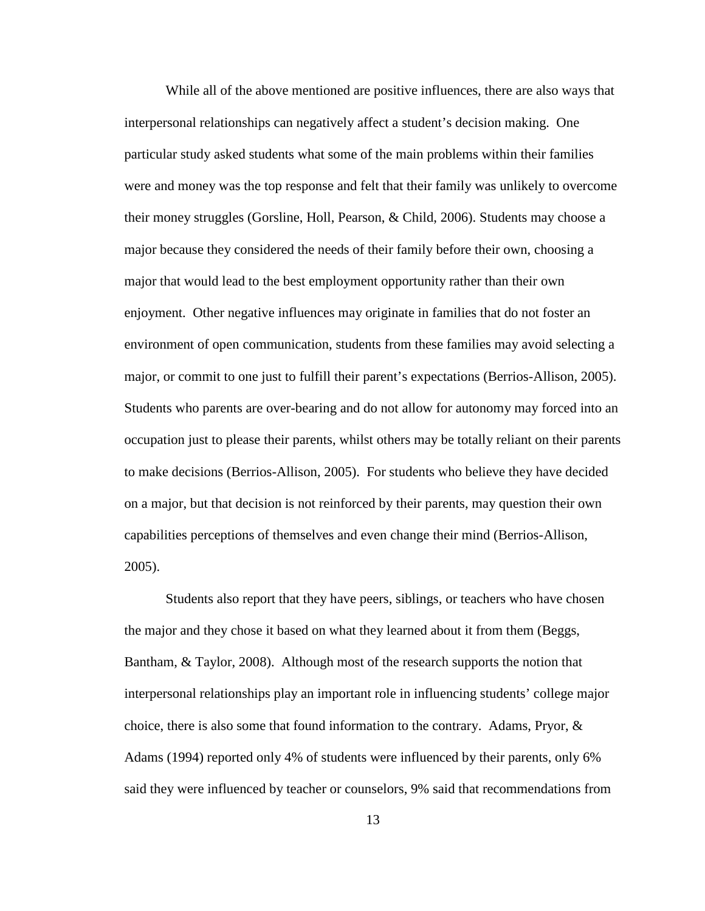While all of the above mentioned are positive influences, there are also ways that interpersonal relationships can negatively affect a student's decision making. One particular study asked students what some of the main problems within their families were and money was the top response and felt that their family was unlikely to overcome their money struggles (Gorsline, Holl, Pearson, & Child, 2006). Students may choose a major because they considered the needs of their family before their own, choosing a major that would lead to the best employment opportunity rather than their own enjoyment. Other negative influences may originate in families that do not foster an environment of open communication, students from these families may avoid selecting a major, or commit to one just to fulfill their parent's expectations (Berrios-Allison, 2005). Students who parents are over-bearing and do not allow for autonomy may forced into an occupation just to please their parents, whilst others may be totally reliant on their parents to make decisions (Berrios-Allison, 2005). For students who believe they have decided on a major, but that decision is not reinforced by their parents, may question their own capabilities perceptions of themselves and even change their mind (Berrios-Allison, 2005).

Students also report that they have peers, siblings, or teachers who have chosen the major and they chose it based on what they learned about it from them (Beggs, Bantham, & Taylor, 2008). Although most of the research supports the notion that interpersonal relationships play an important role in influencing students' college major choice, there is also some that found information to the contrary. Adams, Pryor,  $\&$ Adams (1994) reported only 4% of students were influenced by their parents, only 6% said they were influenced by teacher or counselors, 9% said that recommendations from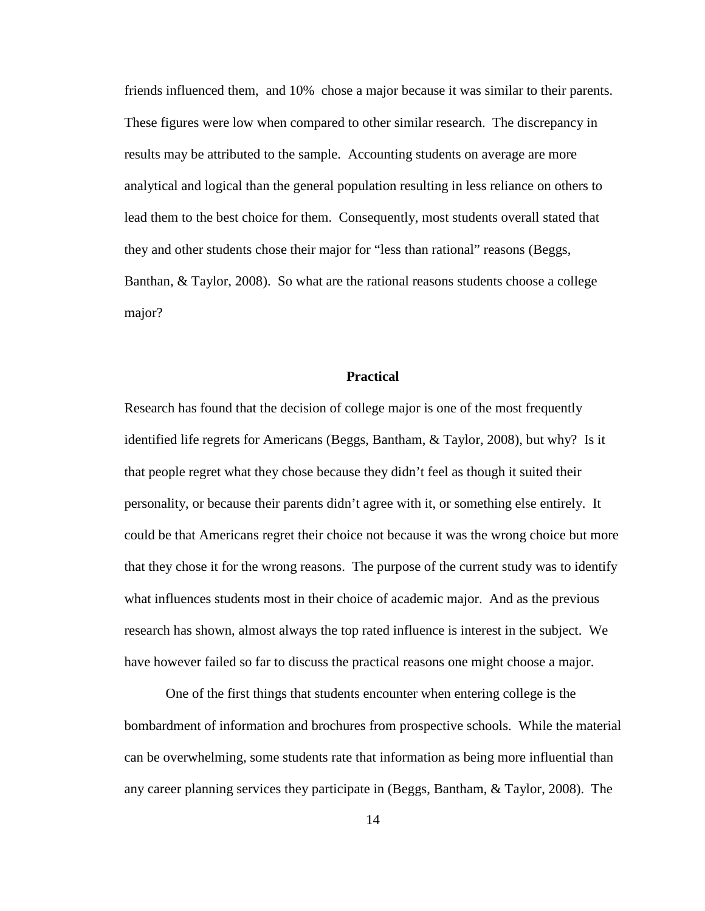friends influenced them, and 10% chose a major because it was similar to their parents. These figures were low when compared to other similar research. The discrepancy in results may be attributed to the sample. Accounting students on average are more analytical and logical than the general population resulting in less reliance on others to lead them to the best choice for them. Consequently, most students overall stated that they and other students chose their major for "less than rational" reasons (Beggs, Banthan, & Taylor, 2008). So what are the rational reasons students choose a college major?

## **Practical**

Research has found that the decision of college major is one of the most frequently identified life regrets for Americans (Beggs, Bantham, & Taylor, 2008), but why? Is it that people regret what they chose because they didn't feel as though it suited their personality, or because their parents didn't agree with it, or something else entirely. It could be that Americans regret their choice not because it was the wrong choice but more that they chose it for the wrong reasons. The purpose of the current study was to identify what influences students most in their choice of academic major. And as the previous research has shown, almost always the top rated influence is interest in the subject. We have however failed so far to discuss the practical reasons one might choose a major.

One of the first things that students encounter when entering college is the bombardment of information and brochures from prospective schools. While the material can be overwhelming, some students rate that information as being more influential than any career planning services they participate in (Beggs, Bantham, & Taylor, 2008). The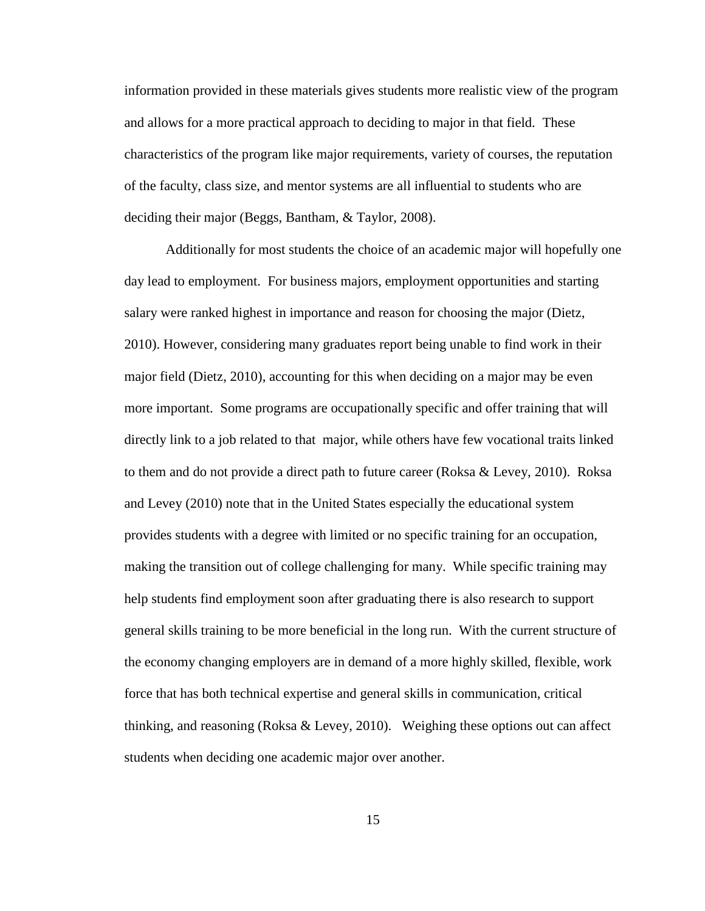information provided in these materials gives students more realistic view of the program and allows for a more practical approach to deciding to major in that field. These characteristics of the program like major requirements, variety of courses, the reputation of the faculty, class size, and mentor systems are all influential to students who are deciding their major (Beggs, Bantham, & Taylor, 2008).

Additionally for most students the choice of an academic major will hopefully one day lead to employment. For business majors, employment opportunities and starting salary were ranked highest in importance and reason for choosing the major (Dietz, 2010). However, considering many graduates report being unable to find work in their major field (Dietz, 2010), accounting for this when deciding on a major may be even more important. Some programs are occupationally specific and offer training that will directly link to a job related to that major, while others have few vocational traits linked to them and do not provide a direct path to future career (Roksa & Levey, 2010). Roksa and Levey (2010) note that in the United States especially the educational system provides students with a degree with limited or no specific training for an occupation, making the transition out of college challenging for many. While specific training may help students find employment soon after graduating there is also research to support general skills training to be more beneficial in the long run. With the current structure of the economy changing employers are in demand of a more highly skilled, flexible, work force that has both technical expertise and general skills in communication, critical thinking, and reasoning (Roksa & Levey, 2010). Weighing these options out can affect students when deciding one academic major over another.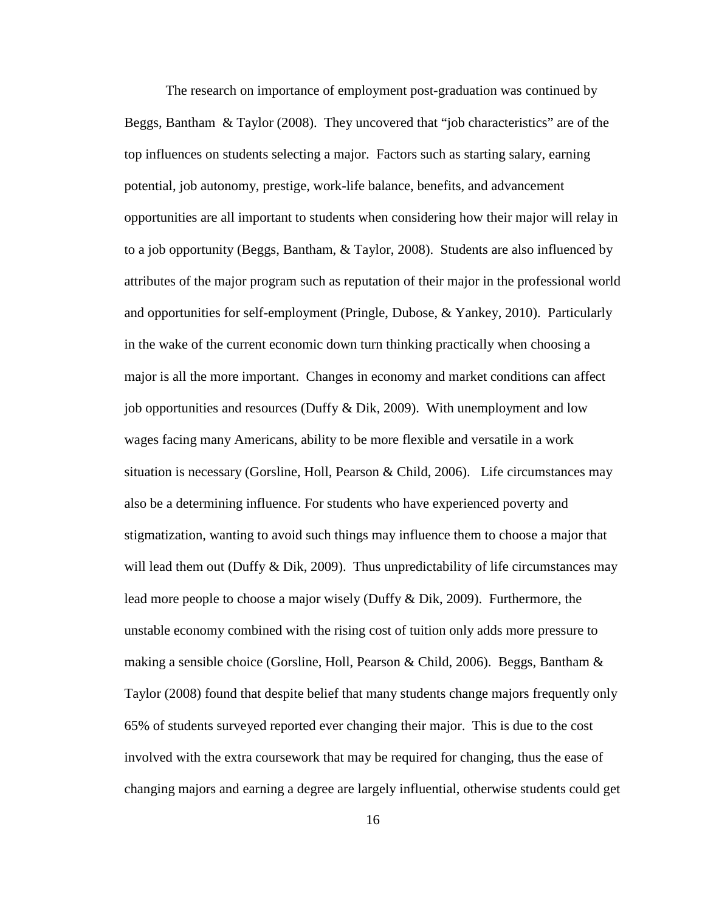The research on importance of employment post-graduation was continued by Beggs, Bantham & Taylor (2008). They uncovered that "job characteristics" are of the top influences on students selecting a major. Factors such as starting salary, earning potential, job autonomy, prestige, work-life balance, benefits, and advancement opportunities are all important to students when considering how their major will relay in to a job opportunity (Beggs, Bantham, & Taylor, 2008). Students are also influenced by attributes of the major program such as reputation of their major in the professional world and opportunities for self-employment (Pringle, Dubose, & Yankey, 2010). Particularly in the wake of the current economic down turn thinking practically when choosing a major is all the more important. Changes in economy and market conditions can affect job opportunities and resources (Duffy & Dik, 2009). With unemployment and low wages facing many Americans, ability to be more flexible and versatile in a work situation is necessary (Gorsline, Holl, Pearson & Child, 2006). Life circumstances may also be a determining influence. For students who have experienced poverty and stigmatization, wanting to avoid such things may influence them to choose a major that will lead them out (Duffy  $&$  Dik, 2009). Thus unpredictability of life circumstances may lead more people to choose a major wisely (Duffy & Dik, 2009). Furthermore, the unstable economy combined with the rising cost of tuition only adds more pressure to making a sensible choice (Gorsline, Holl, Pearson & Child, 2006). Beggs, Bantham & Taylor (2008) found that despite belief that many students change majors frequently only 65% of students surveyed reported ever changing their major. This is due to the cost involved with the extra coursework that may be required for changing, thus the ease of changing majors and earning a degree are largely influential, otherwise students could get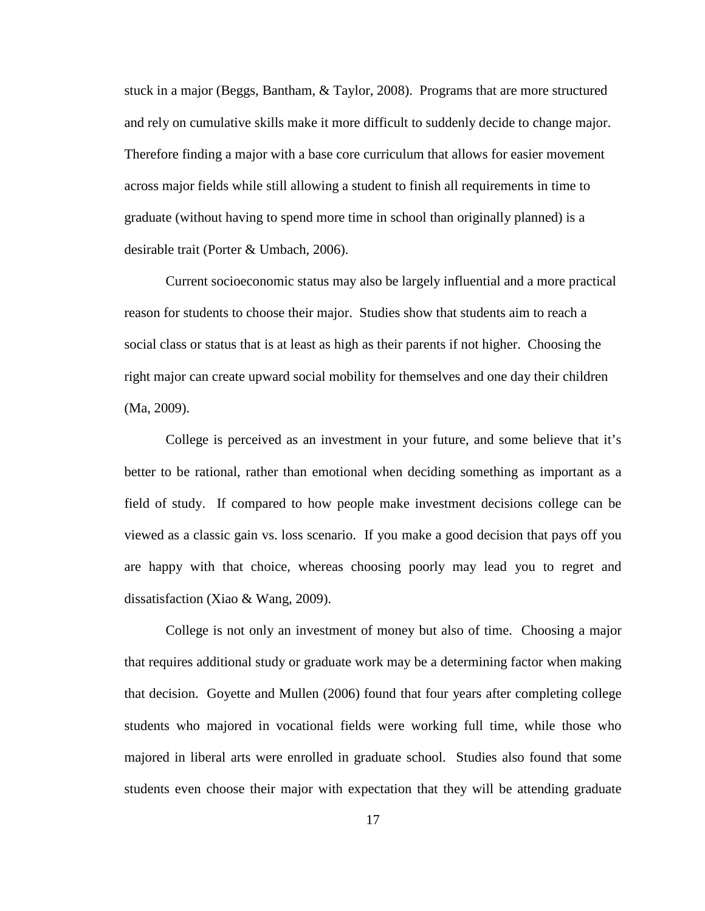stuck in a major (Beggs, Bantham, & Taylor, 2008). Programs that are more structured and rely on cumulative skills make it more difficult to suddenly decide to change major. Therefore finding a major with a base core curriculum that allows for easier movement across major fields while still allowing a student to finish all requirements in time to graduate (without having to spend more time in school than originally planned) is a desirable trait (Porter & Umbach, 2006).

Current socioeconomic status may also be largely influential and a more practical reason for students to choose their major. Studies show that students aim to reach a social class or status that is at least as high as their parents if not higher. Choosing the right major can create upward social mobility for themselves and one day their children (Ma, 2009).

College is perceived as an investment in your future, and some believe that it's better to be rational, rather than emotional when deciding something as important as a field of study. If compared to how people make investment decisions college can be viewed as a classic gain vs. loss scenario. If you make a good decision that pays off you are happy with that choice, whereas choosing poorly may lead you to regret and dissatisfaction (Xiao & Wang, 2009).

College is not only an investment of money but also of time. Choosing a major that requires additional study or graduate work may be a determining factor when making that decision. Goyette and Mullen (2006) found that four years after completing college students who majored in vocational fields were working full time, while those who majored in liberal arts were enrolled in graduate school. Studies also found that some students even choose their major with expectation that they will be attending graduate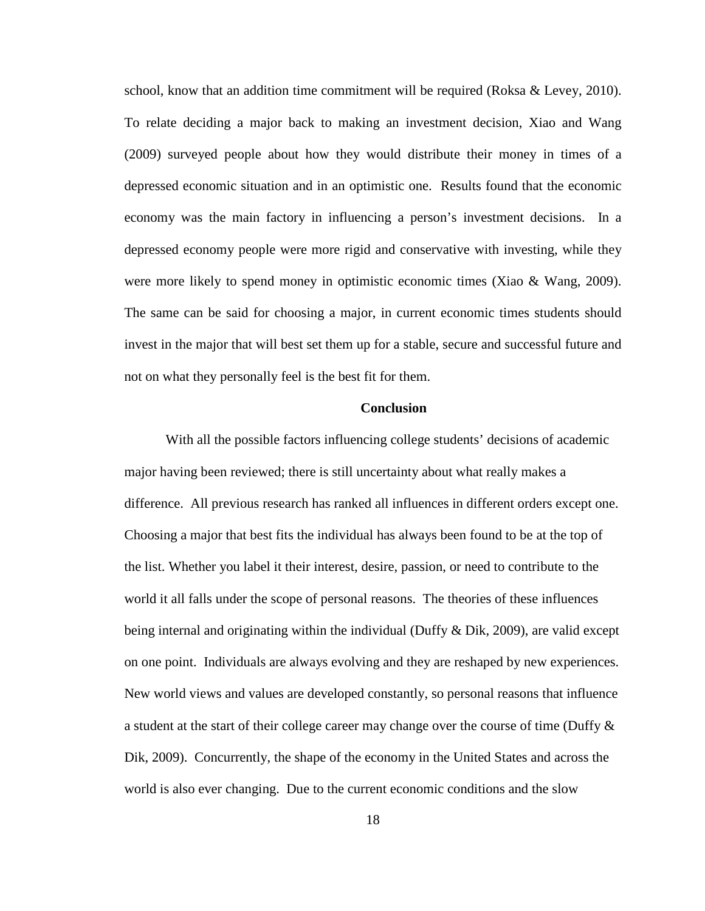school, know that an addition time commitment will be required (Roksa & Levey, 2010). To relate deciding a major back to making an investment decision, Xiao and Wang (2009) surveyed people about how they would distribute their money in times of a depressed economic situation and in an optimistic one. Results found that the economic economy was the main factory in influencing a person's investment decisions. In a depressed economy people were more rigid and conservative with investing, while they were more likely to spend money in optimistic economic times (Xiao & Wang, 2009). The same can be said for choosing a major, in current economic times students should invest in the major that will best set them up for a stable, secure and successful future and not on what they personally feel is the best fit for them.

## **Conclusion**

With all the possible factors influencing college students' decisions of academic major having been reviewed; there is still uncertainty about what really makes a difference. All previous research has ranked all influences in different orders except one. Choosing a major that best fits the individual has always been found to be at the top of the list. Whether you label it their interest, desire, passion, or need to contribute to the world it all falls under the scope of personal reasons. The theories of these influences being internal and originating within the individual (Duffy  $\&$  Dik, 2009), are valid except on one point. Individuals are always evolving and they are reshaped by new experiences. New world views and values are developed constantly, so personal reasons that influence a student at the start of their college career may change over the course of time (Duffy  $\&$ Dik, 2009). Concurrently, the shape of the economy in the United States and across the world is also ever changing. Due to the current economic conditions and the slow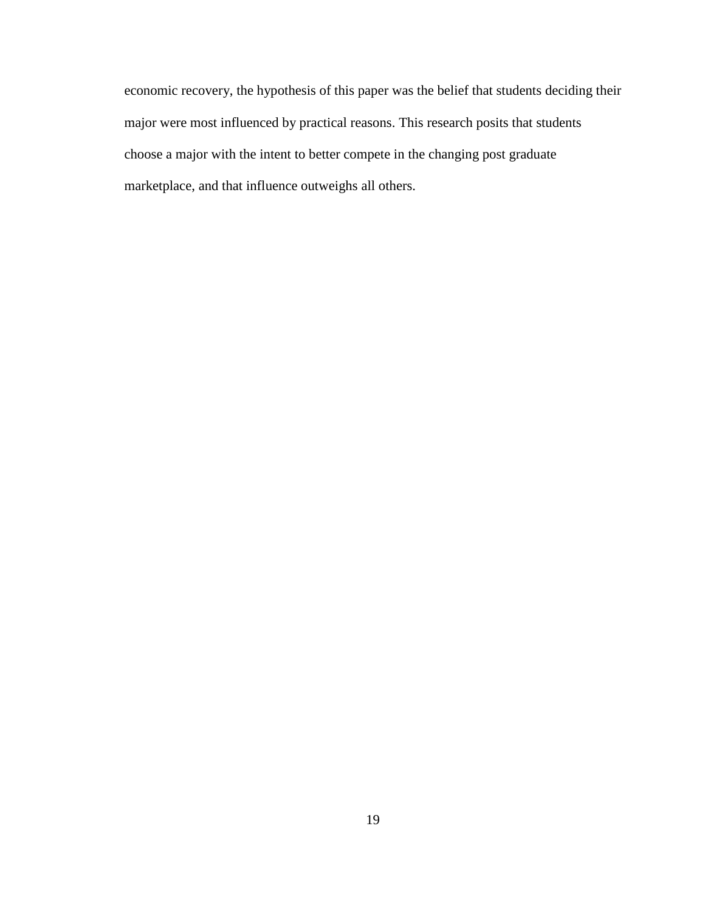economic recovery, the hypothesis of this paper was the belief that students deciding their major were most influenced by practical reasons. This research posits that students choose a major with the intent to better compete in the changing post graduate marketplace, and that influence outweighs all others.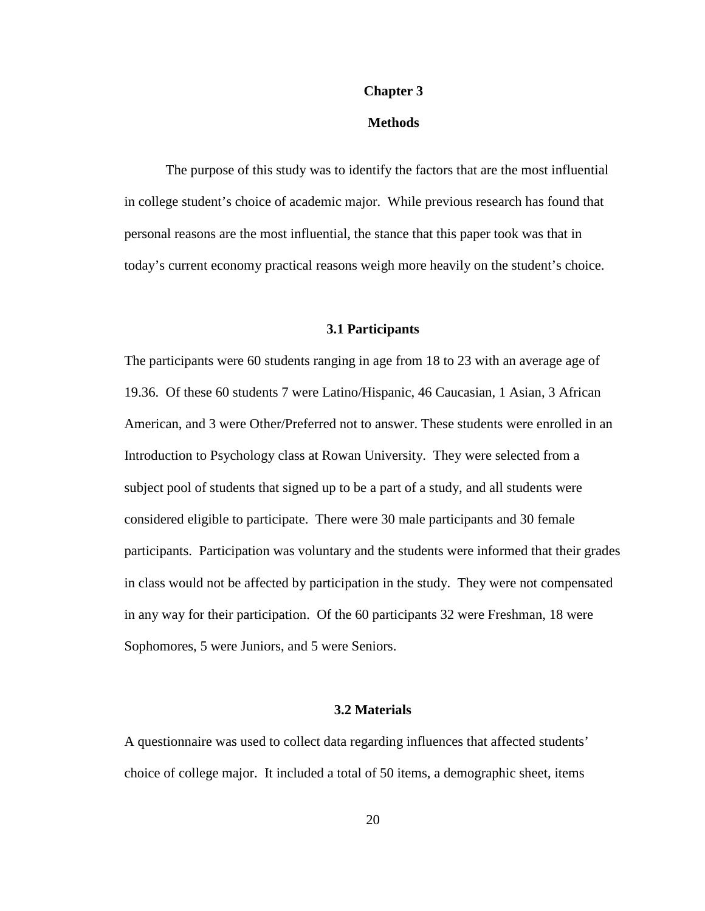## **Chapter 3**

## **Methods**

The purpose of this study was to identify the factors that are the most influential in college student's choice of academic major. While previous research has found that personal reasons are the most influential, the stance that this paper took was that in today's current economy practical reasons weigh more heavily on the student's choice.

## **3.1 Participants**

The participants were 60 students ranging in age from 18 to 23 with an average age of 19.36. Of these 60 students 7 were Latino/Hispanic, 46 Caucasian, 1 Asian, 3 African American, and 3 were Other/Preferred not to answer. These students were enrolled in an Introduction to Psychology class at Rowan University. They were selected from a subject pool of students that signed up to be a part of a study, and all students were considered eligible to participate. There were 30 male participants and 30 female participants. Participation was voluntary and the students were informed that their grades in class would not be affected by participation in the study. They were not compensated in any way for their participation. Of the 60 participants 32 were Freshman, 18 were Sophomores, 5 were Juniors, and 5 were Seniors.

# **3.2 Materials**

A questionnaire was used to collect data regarding influences that affected students' choice of college major. It included a total of 50 items, a demographic sheet, items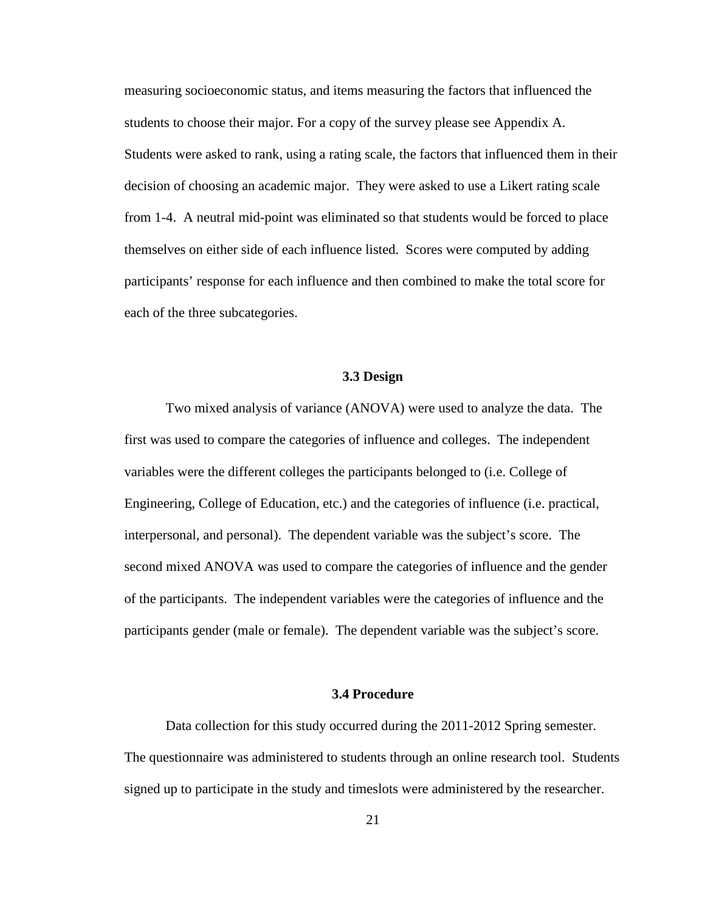measuring socioeconomic status, and items measuring the factors that influenced the students to choose their major. For a copy of the survey please see Appendix A. Students were asked to rank, using a rating scale, the factors that influenced them in their decision of choosing an academic major. They were asked to use a Likert rating scale from 1-4. A neutral mid-point was eliminated so that students would be forced to place themselves on either side of each influence listed. Scores were computed by adding participants' response for each influence and then combined to make the total score for each of the three subcategories.

#### **3.3 Design**

Two mixed analysis of variance (ANOVA) were used to analyze the data. The first was used to compare the categories of influence and colleges. The independent variables were the different colleges the participants belonged to (i.e. College of Engineering, College of Education, etc.) and the categories of influence (i.e. practical, interpersonal, and personal). The dependent variable was the subject's score. The second mixed ANOVA was used to compare the categories of influence and the gender of the participants. The independent variables were the categories of influence and the participants gender (male or female). The dependent variable was the subject's score.

## **3.4 Procedure**

Data collection for this study occurred during the 2011-2012 Spring semester. The questionnaire was administered to students through an online research tool. Students signed up to participate in the study and timeslots were administered by the researcher.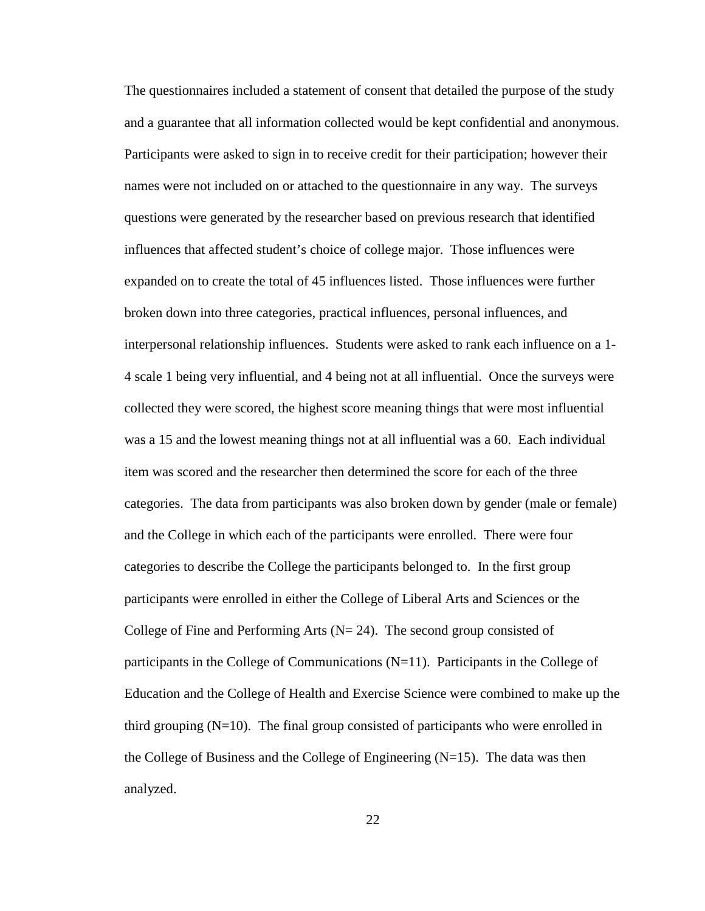The questionnaires included a statement of consent that detailed the purpose of the study and a guarantee that all information collected would be kept confidential and anonymous. Participants were asked to sign in to receive credit for their participation; however their names were not included on or attached to the questionnaire in any way. The surveys questions were generated by the researcher based on previous research that identified influences that affected student's choice of college major. Those influences were expanded on to create the total of 45 influences listed. Those influences were further broken down into three categories, practical influences, personal influences, and interpersonal relationship influences. Students were asked to rank each influence on a 1- 4 scale 1 being very influential, and 4 being not at all influential. Once the surveys were collected they were scored, the highest score meaning things that were most influential was a 15 and the lowest meaning things not at all influential was a 60. Each individual item was scored and the researcher then determined the score for each of the three categories. The data from participants was also broken down by gender (male or female) and the College in which each of the participants were enrolled. There were four categories to describe the College the participants belonged to. In the first group participants were enrolled in either the College of Liberal Arts and Sciences or the College of Fine and Performing Arts ( $N = 24$ ). The second group consisted of participants in the College of Communications (N=11). Participants in the College of Education and the College of Health and Exercise Science were combined to make up the third grouping  $(N=10)$ . The final group consisted of participants who were enrolled in the College of Business and the College of Engineering  $(N=15)$ . The data was then analyzed.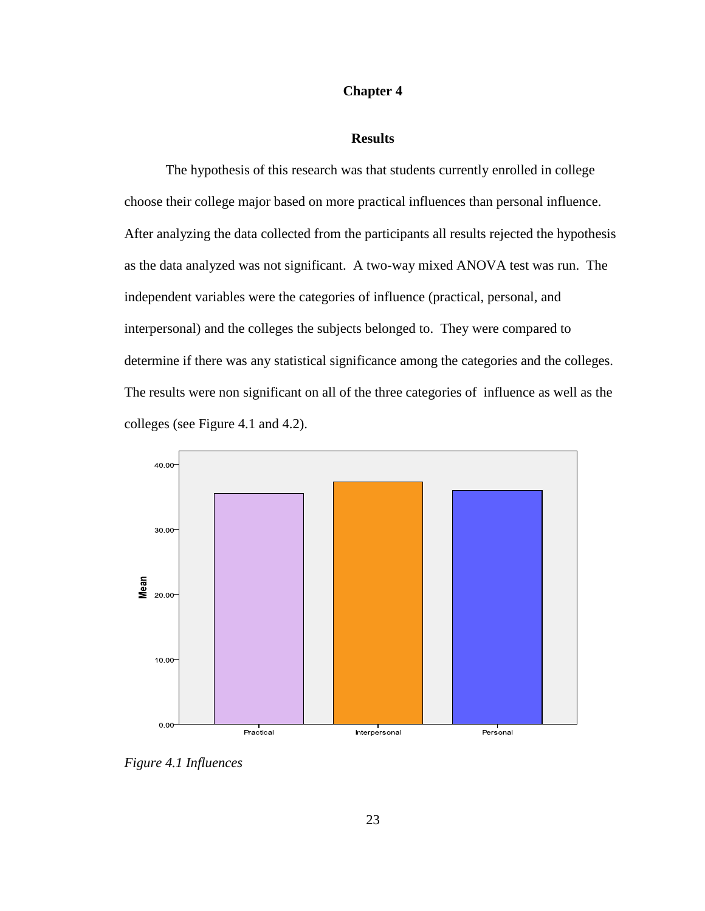# **Chapter 4**

## **Results**

The hypothesis of this research was that students currently enrolled in college choose their college major based on more practical influences than personal influence. After analyzing the data collected from the participants all results rejected the hypothesis as the data analyzed was not significant. A two-way mixed ANOVA test was run. The independent variables were the categories of influence (practical, personal, and interpersonal) and the colleges the subjects belonged to. They were compared to determine if there was any statistical significance among the categories and the colleges. The results were non significant on all of the three categories of influence as well as the colleges (see Figure 4.1 and 4.2).



*Figure 4.1 Influences*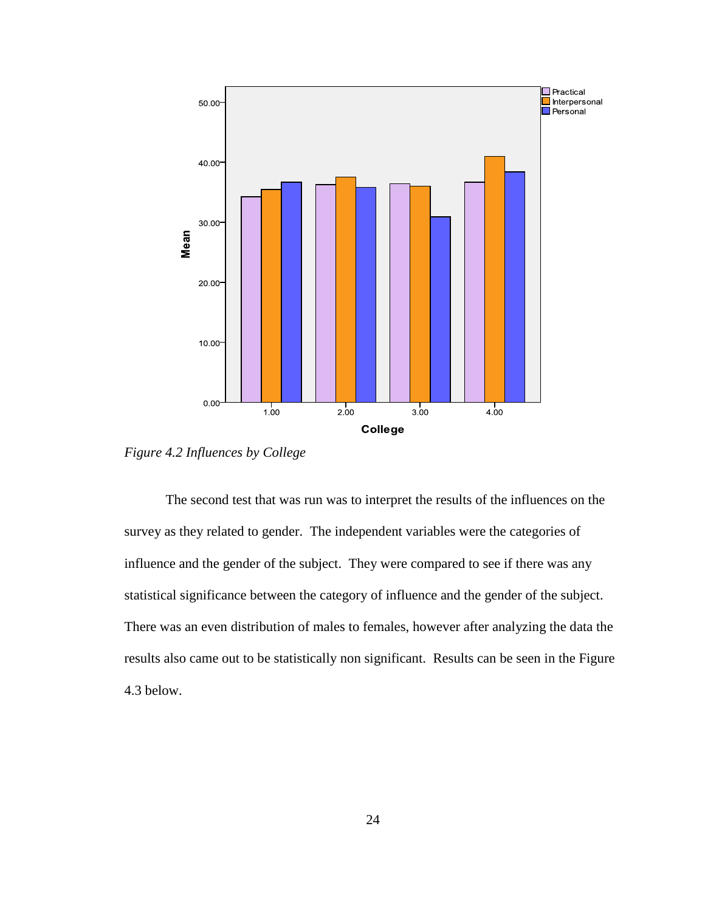

*Figure 4.2 Influences by College*

The second test that was run was to interpret the results of the influences on the survey as they related to gender. The independent variables were the categories of influence and the gender of the subject. They were compared to see if there was any statistical significance between the category of influence and the gender of the subject. There was an even distribution of males to females, however after analyzing the data the results also came out to be statistically non significant. Results can be seen in the Figure 4.3 below.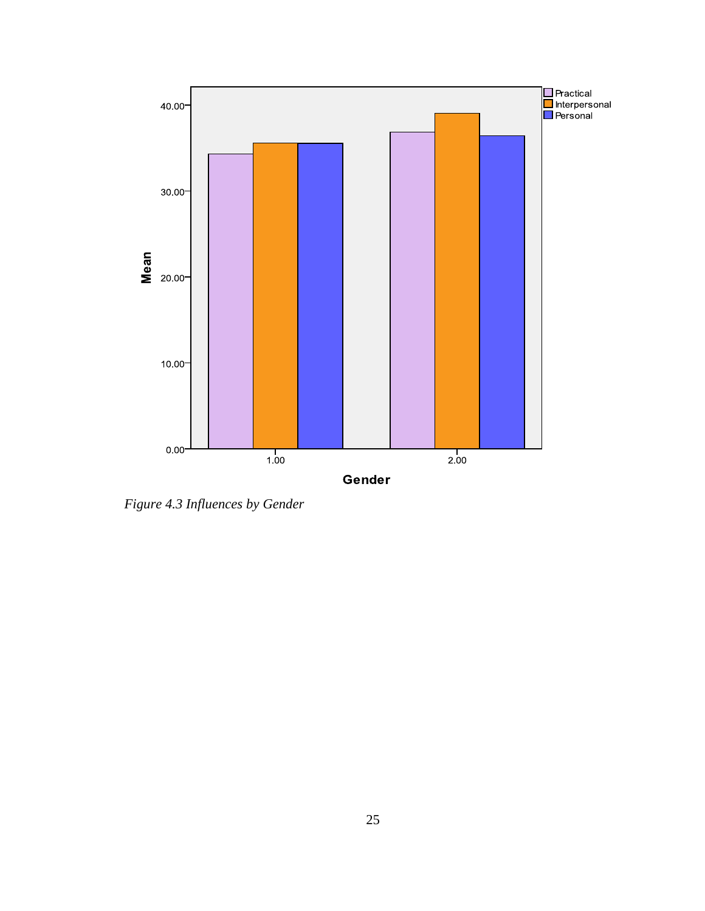

*Figure 4.3 Influences by Gender*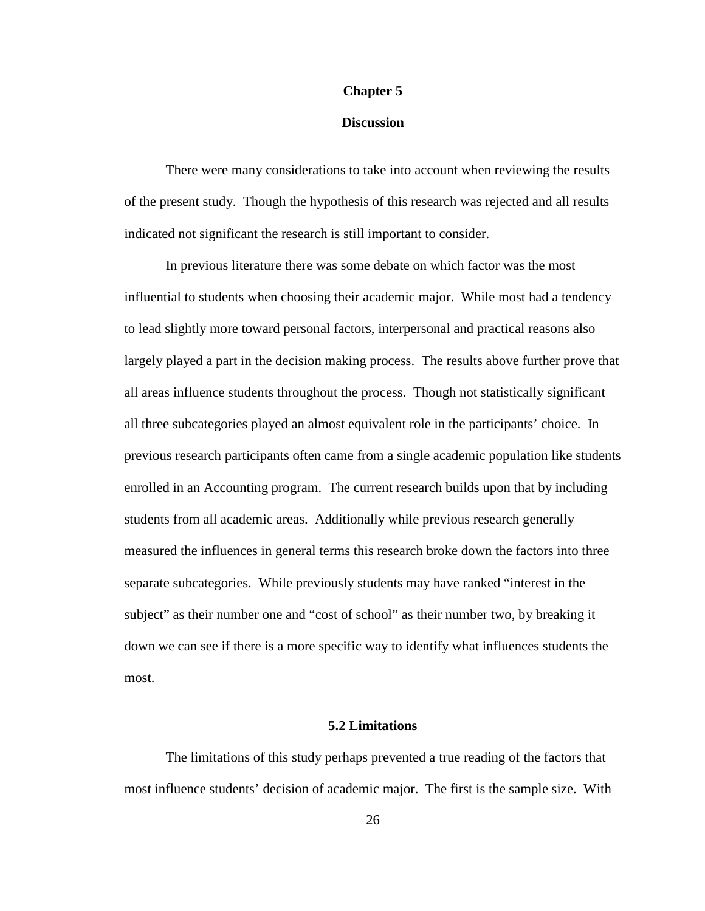## **Chapter 5**

## **Discussion**

There were many considerations to take into account when reviewing the results of the present study. Though the hypothesis of this research was rejected and all results indicated not significant the research is still important to consider.

In previous literature there was some debate on which factor was the most influential to students when choosing their academic major. While most had a tendency to lead slightly more toward personal factors, interpersonal and practical reasons also largely played a part in the decision making process. The results above further prove that all areas influence students throughout the process. Though not statistically significant all three subcategories played an almost equivalent role in the participants' choice. In previous research participants often came from a single academic population like students enrolled in an Accounting program. The current research builds upon that by including students from all academic areas. Additionally while previous research generally measured the influences in general terms this research broke down the factors into three separate subcategories. While previously students may have ranked "interest in the subject" as their number one and "cost of school" as their number two, by breaking it down we can see if there is a more specific way to identify what influences students the most.

## **5.2 Limitations**

The limitations of this study perhaps prevented a true reading of the factors that most influence students' decision of academic major. The first is the sample size. With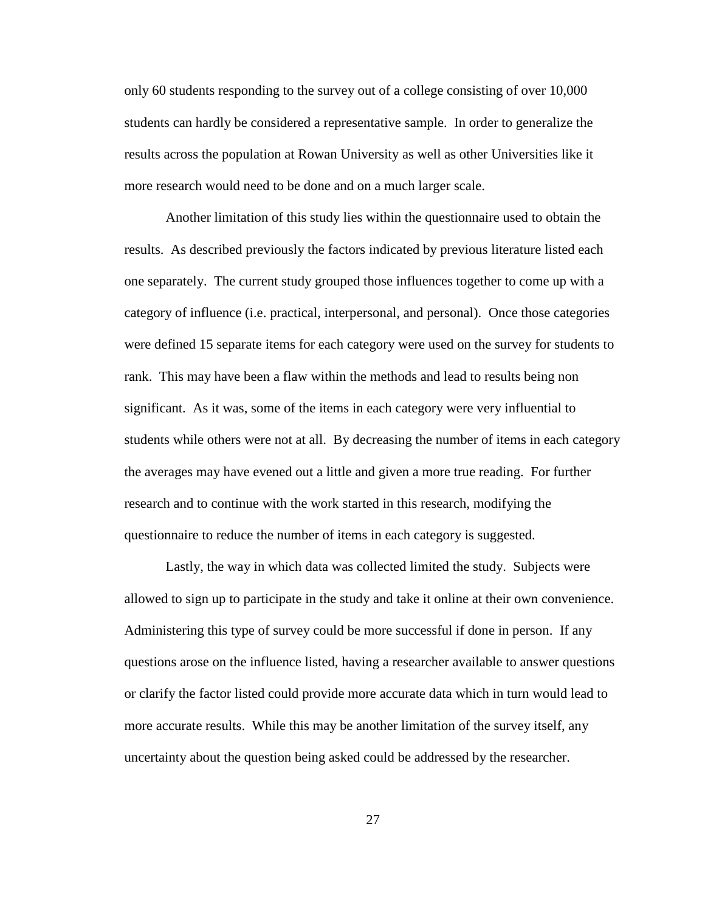only 60 students responding to the survey out of a college consisting of over 10,000 students can hardly be considered a representative sample. In order to generalize the results across the population at Rowan University as well as other Universities like it more research would need to be done and on a much larger scale.

Another limitation of this study lies within the questionnaire used to obtain the results. As described previously the factors indicated by previous literature listed each one separately. The current study grouped those influences together to come up with a category of influence (i.e. practical, interpersonal, and personal). Once those categories were defined 15 separate items for each category were used on the survey for students to rank. This may have been a flaw within the methods and lead to results being non significant. As it was, some of the items in each category were very influential to students while others were not at all. By decreasing the number of items in each category the averages may have evened out a little and given a more true reading. For further research and to continue with the work started in this research, modifying the questionnaire to reduce the number of items in each category is suggested.

Lastly, the way in which data was collected limited the study. Subjects were allowed to sign up to participate in the study and take it online at their own convenience. Administering this type of survey could be more successful if done in person. If any questions arose on the influence listed, having a researcher available to answer questions or clarify the factor listed could provide more accurate data which in turn would lead to more accurate results. While this may be another limitation of the survey itself, any uncertainty about the question being asked could be addressed by the researcher.

27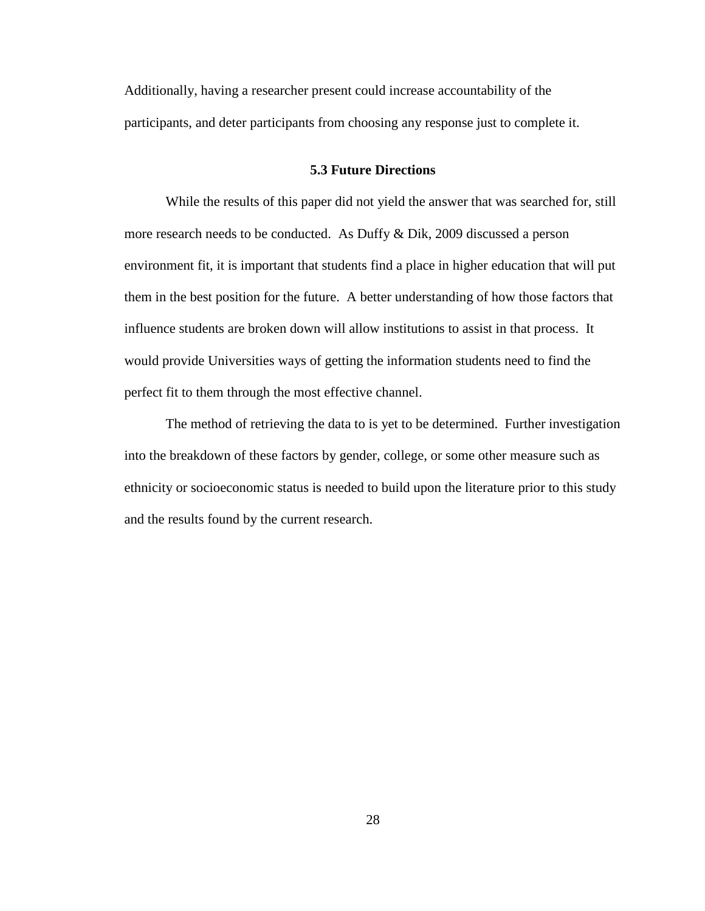Additionally, having a researcher present could increase accountability of the participants, and deter participants from choosing any response just to complete it.

# **5.3 Future Directions**

While the results of this paper did not yield the answer that was searched for, still more research needs to be conducted. As Duffy & Dik, 2009 discussed a person environment fit, it is important that students find a place in higher education that will put them in the best position for the future. A better understanding of how those factors that influence students are broken down will allow institutions to assist in that process. It would provide Universities ways of getting the information students need to find the perfect fit to them through the most effective channel.

The method of retrieving the data to is yet to be determined. Further investigation into the breakdown of these factors by gender, college, or some other measure such as ethnicity or socioeconomic status is needed to build upon the literature prior to this study and the results found by the current research.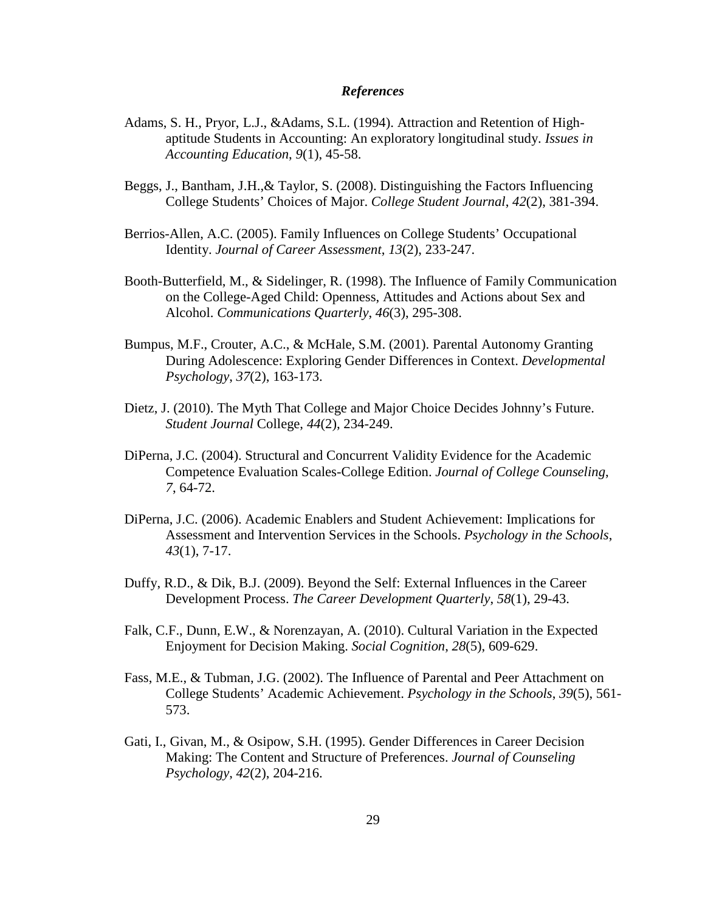## *References*

- Adams, S. H., Pryor, L.J., &Adams, S.L. (1994). Attraction and Retention of Highaptitude Students in Accounting: An exploratory longitudinal study. *Issues in Accounting Education*, *9*(1), 45-58.
- Beggs, J., Bantham, J.H.,& Taylor, S. (2008). Distinguishing the Factors Influencing College Students' Choices of Major. *College Student Journal*, *42*(2), 381-394.
- Berrios-Allen, A.C. (2005). Family Influences on College Students' Occupational Identity. *Journal of Career Assessment*, *13*(2), 233-247.
- Booth-Butterfield, M., & Sidelinger, R. (1998). The Influence of Family Communication on the College-Aged Child: Openness, Attitudes and Actions about Sex and Alcohol. *Communications Quarterly*, *46*(3), 295-308.
- Bumpus, M.F., Crouter, A.C., & McHale, S.M. (2001). Parental Autonomy Granting During Adolescence: Exploring Gender Differences in Context. *Developmental Psychology*, *37*(2), 163-173.
- Dietz, J. (2010). The Myth That College and Major Choice Decides Johnny's Future. *Student Journal* College, *44*(2), 234-249.
- DiPerna, J.C. (2004). Structural and Concurrent Validity Evidence for the Academic Competence Evaluation Scales-College Edition. *Journal of College Counseling*, *7*, 64-72.
- DiPerna, J.C. (2006). Academic Enablers and Student Achievement: Implications for Assessment and Intervention Services in the Schools. *Psychology in the Schools*, *43*(1), 7-17.
- Duffy, R.D., & Dik, B.J. (2009). Beyond the Self: External Influences in the Career Development Process. *The Career Development Quarterly*, *58*(1), 29-43.
- Falk, C.F., Dunn, E.W., & Norenzayan, A. (2010). Cultural Variation in the Expected Enjoyment for Decision Making. *Social Cognition*, *28*(5), 609-629.
- Fass, M.E., & Tubman, J.G. (2002). The Influence of Parental and Peer Attachment on College Students' Academic Achievement. *Psychology in the Schools*, *39*(5), 561- 573.
- Gati, I., Givan, M., & Osipow, S.H. (1995). Gender Differences in Career Decision Making: The Content and Structure of Preferences. *Journal of Counseling Psychology*, *42*(2), 204-216.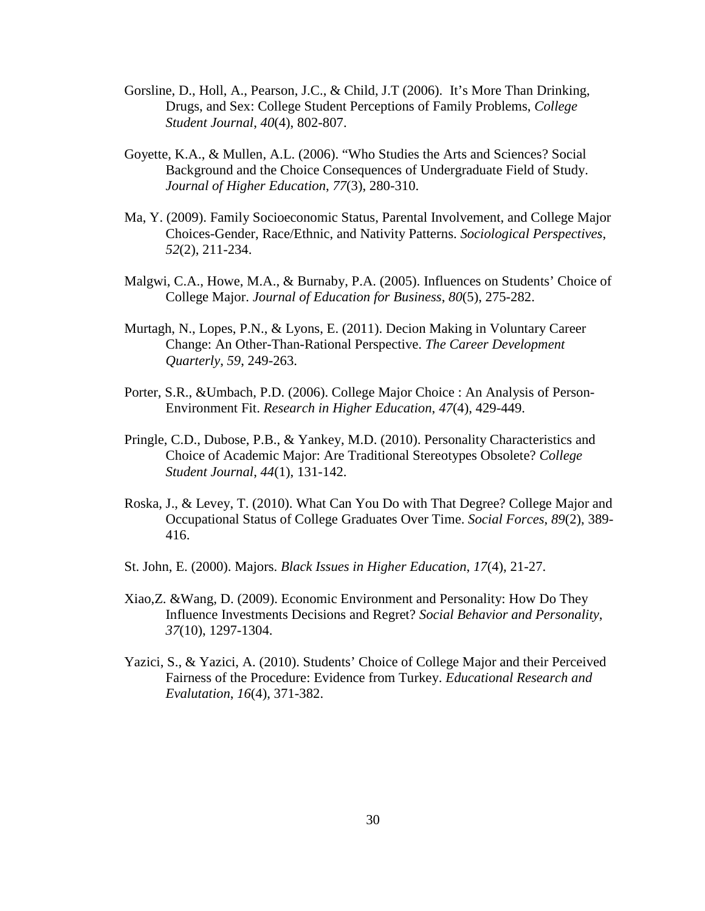- Gorsline, D., Holl, A., Pearson, J.C., & Child, J.T (2006). It's More Than Drinking, Drugs, and Sex: College Student Perceptions of Family Problems, *College Student Journal*, *40*(4), 802-807.
- Goyette, K.A., & Mullen, A.L. (2006). "Who Studies the Arts and Sciences? Social Background and the Choice Consequences of Undergraduate Field of Study. *Journal of Higher Education*, *77*(3), 280-310.
- Ma, Y. (2009). Family Socioeconomic Status, Parental Involvement, and College Major Choices-Gender, Race/Ethnic, and Nativity Patterns. *Sociological Perspectives*, *52*(2), 211-234.
- Malgwi, C.A., Howe, M.A., & Burnaby, P.A. (2005). Influences on Students' Choice of College Major. *Journal of Education for Business*, *80*(5), 275-282.
- Murtagh, N., Lopes, P.N., & Lyons, E. (2011). Decion Making in Voluntary Career Change: An Other-Than-Rational Perspective. *The Career Development Quarterly*, *59*, 249-263.
- Porter, S.R., &Umbach, P.D. (2006). College Major Choice : An Analysis of Person-Environment Fit. *Research in Higher Education*, *47*(4), 429-449.
- Pringle, C.D., Dubose, P.B., & Yankey, M.D. (2010). Personality Characteristics and Choice of Academic Major: Are Traditional Stereotypes Obsolete? *College Student Journal*, *44*(1), 131-142.
- Roska, J., & Levey, T. (2010). What Can You Do with That Degree? College Major and Occupational Status of College Graduates Over Time. *Social Forces*, *89*(2), 389- 416.
- St. John, E. (2000). Majors. *Black Issues in Higher Education*, *17*(4), 21-27.
- Xiao,Z. &Wang, D. (2009). Economic Environment and Personality: How Do They Influence Investments Decisions and Regret? *Social Behavior and Personality*, *37*(10), 1297-1304.
- Yazici, S., & Yazici, A. (2010). Students' Choice of College Major and their Perceived Fairness of the Procedure: Evidence from Turkey. *Educational Research and Evalutation*, *16*(4), 371-382.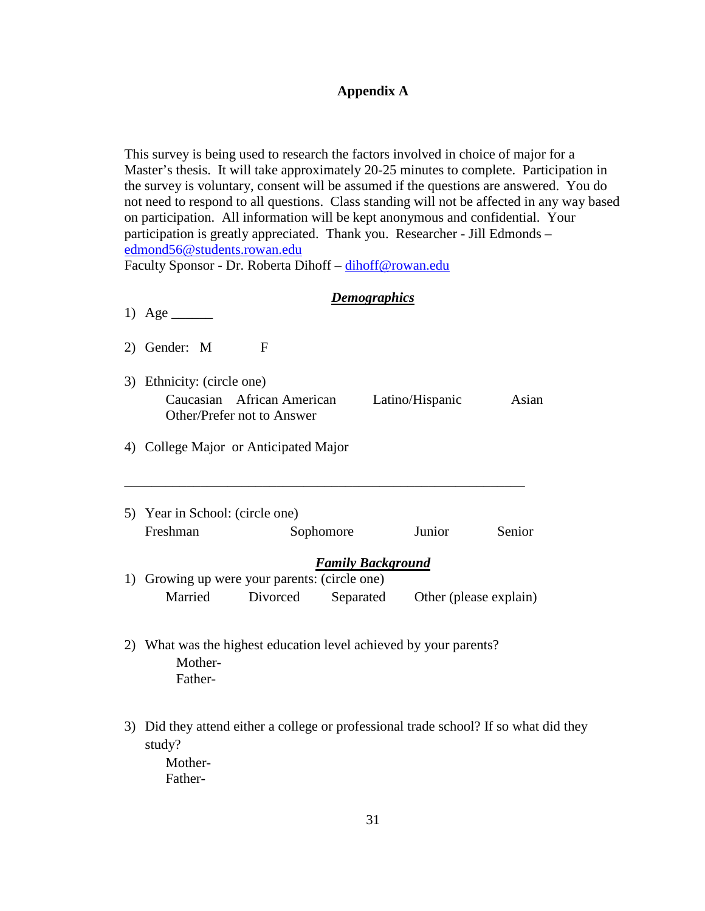# **Appendix A**

This survey is being used to research the factors involved in choice of major for a Master's thesis. It will take approximately 20-25 minutes to complete. Participation in the survey is voluntary, consent will be assumed if the questions are answered. You do not need to respond to all questions. Class standing will not be affected in any way based on participation. All information will be kept anonymous and confidential. Your participation is greatly appreciated. Thank you. Researcher - Jill Edmonds – [edmond56@students.rowan.edu](mailto:edmond56@students.rowan.edu)

Faculty Sponsor - Dr. Roberta Dihoff – [dihoff@rowan.edu](mailto:dihoff@rowan.edu)

# *Demographics*

| 1) Age $\qquad$                                                                         |   |                          |                                           |        |
|-----------------------------------------------------------------------------------------|---|--------------------------|-------------------------------------------|--------|
| 2) Gender: M                                                                            | F |                          |                                           |        |
| 3) Ethnicity: (circle one)<br>Caucasian African American<br>Other/Prefer not to Answer  |   |                          | Latino/Hispanic                           | Asian  |
| 4) College Major or Anticipated Major                                                   |   |                          |                                           |        |
| 5) Year in School: (circle one)<br>Freshman                                             |   | Sophomore                | Junior                                    | Senior |
| 1) Growing up were your parents: (circle one)<br>Married                                |   | <b>Family Background</b> | Divorced Separated Other (please explain) |        |
| 2) What was the highest education level achieved by your parents?<br>Mother-<br>Father- |   |                          |                                           |        |

3) Did they attend either a college or professional trade school? If so what did they study?

Mother-Father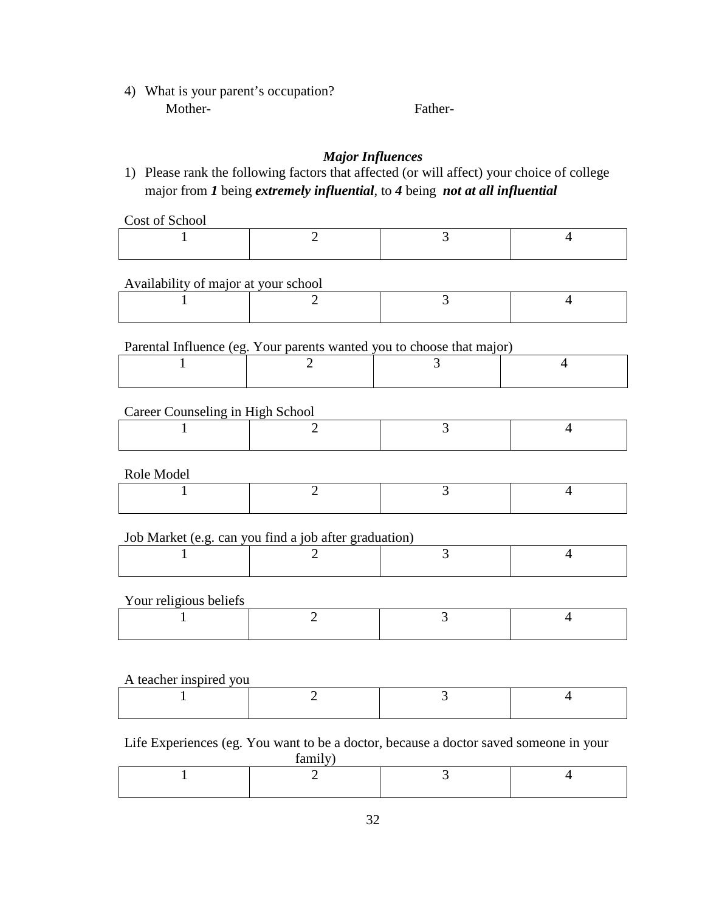4) What is your parent's occupation? Mother-<br>
Father-

# *Major Influences*

1) Please rank the following factors that affected (or will affect) your choice of college major from *1* being *extremely influential*, to *4* being *not at all influential*

Cost of School

| ------------ |  |  |
|--------------|--|--|
|              |  |  |
|              |  |  |

Availability of major at your school

Parental Influence (eg. Your parents wanted you to choose that major)

# Career Counseling in High School

Role Model

| TTOTO TITOGOT |  |  |
|---------------|--|--|
|               |  |  |

# Job Market (e.g. can you find a job after graduation)

# Your religious beliefs

# A teacher inspired you

# Life Experiences (eg. You want to be a doctor, because a doctor saved someone in your

family)

| --------- |  |
|-----------|--|
|           |  |
|           |  |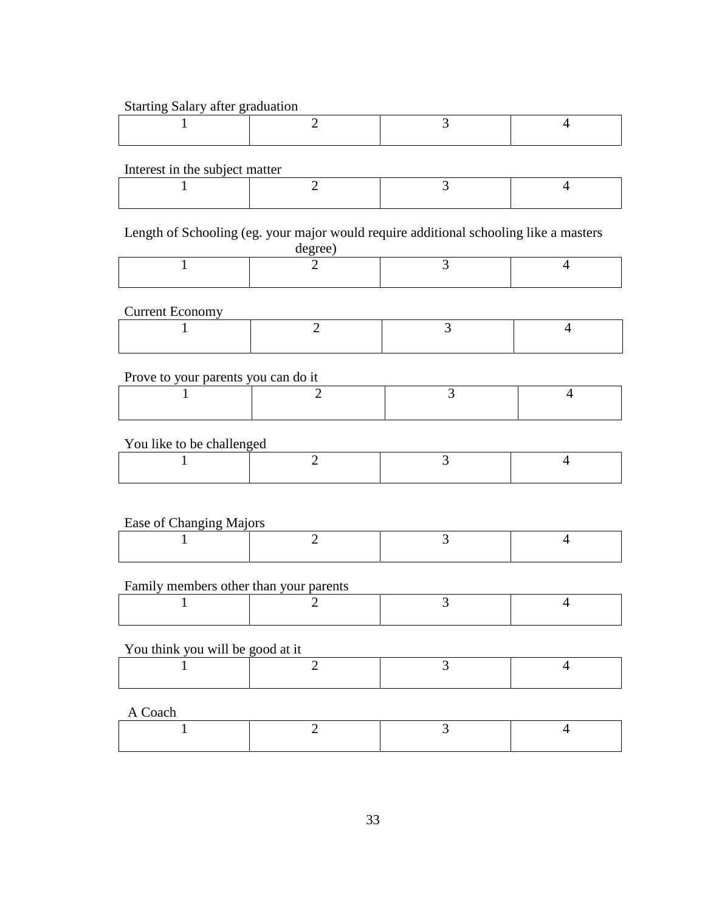## Starting Salary after graduation

# Interest in the subject matter

Length of Schooling (eg. your major would require additional schooling like a masters

| degree |
|--------|
|--------|

# Current Economy

# Prove to your parents you can do it

# You like to be challenged

# Ease of Changing Majors

| ---- |  |
|------|--|
|      |  |
|      |  |

# Family members other than your parents

# You think you will be good at it

A Coach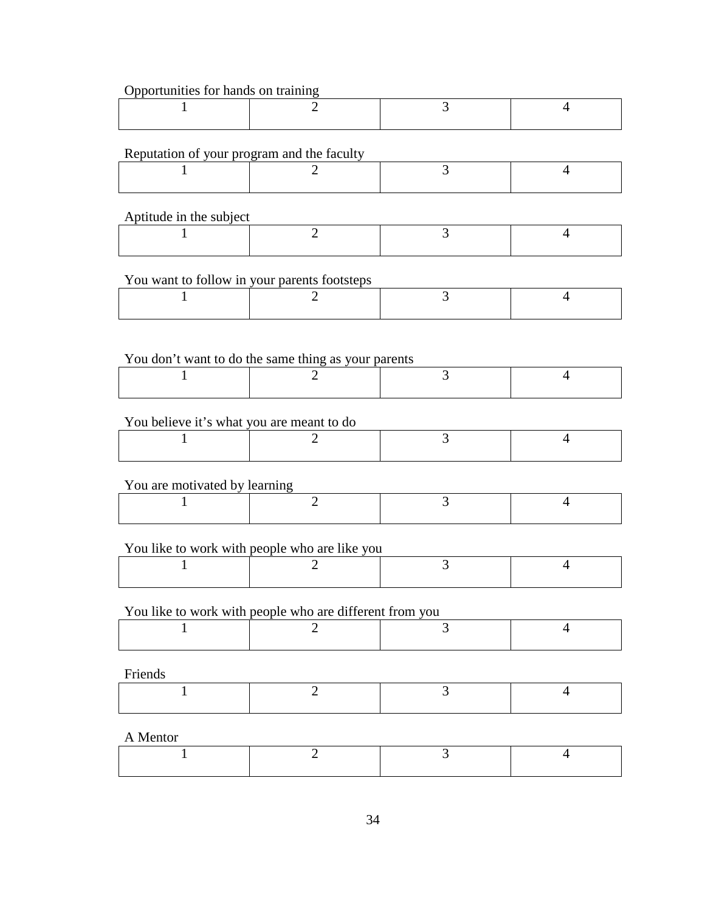## Opportunities for hands on training

# Reputation of your program and the faculty

# Aptitude in the subject

# You want to follow in your parents footsteps

# You don't want to do the same thing as your parents

# You believe it's what you are meant to do

# You are motivated by learning

# You like to work with people who are like you

# You like to work with people who are different from you

# Friends

| A AAVAAWA |  |  |
|-----------|--|--|
|           |  |  |
|           |  |  |

# A Mentor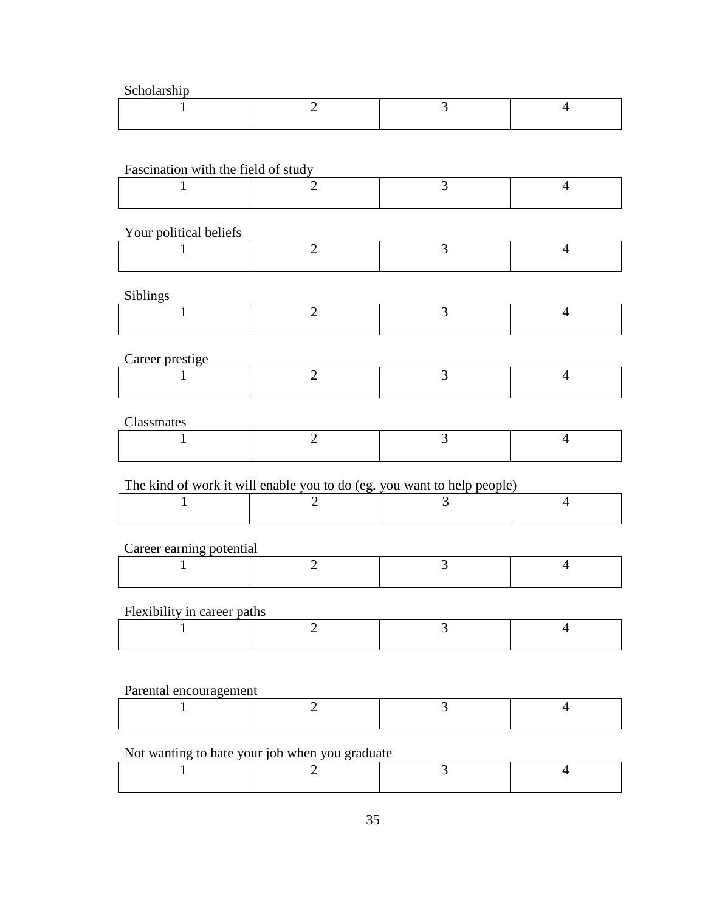Scholarship

## Fascination with the field of study

# Your political beliefs

| Tour political octions |  |  |
|------------------------|--|--|
|                        |  |  |
|                        |  |  |

## Siblings

| ----- |  |  |
|-------|--|--|
|       |  |  |
|       |  |  |

## Career prestige

## Classmates

# The kind of work it will enable you to do (eg. you want to help people)

# Career earning potential

# Flexibility in career paths

# Parental encouragement

# Not wanting to hate your job when you graduate